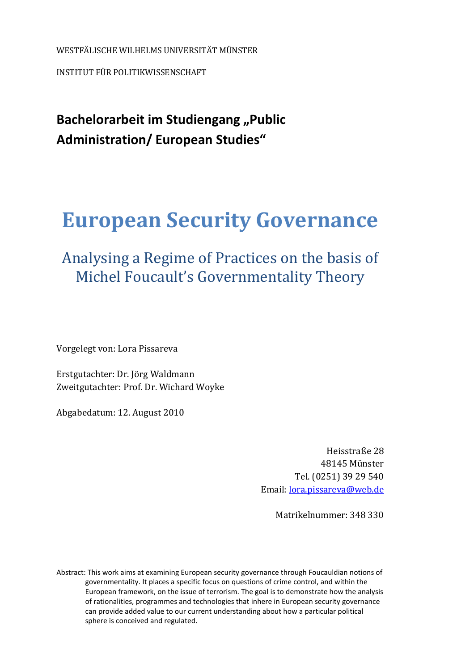WESTFÄLISCHE WILHELMS UNIVERSITÄT MÜNSTER

INSTITUT FÜR POLITIKWISSENSCHAFT

**Bachelorarbeit im Studiengang "Public Administration/ European Studies"** 

# **European Security Governance**

# Analysing a Regime of Practices on the basis of Michel Foucault's Governmentality Theory

Vorgelegt von: Lora Pissareva

Erstgutachter: Dr. Jörg Waldmann Zweitgutachter: Prof. Dr. Wichard Woyke

Abgabedatum: 12. August 2010

Heisstraße 28 48145 Münster Tel. (0251) 39 29 540 Email: lora.pissareva@web.de

Ma[trikelnummer: 348 330](mailto:lora.pissareva@web.de) 

Abstract: This work aims at examining European security governance through Foucauldian notions of governmentality. It places a specific focus on questions of crime control, and within the European framework, on the issue of terrorism. The goal is to demonstrate how the analysis of rationalities, programmes and technologies that inhere in European security governance can provide added value to our current understanding about how a particular political sphere is conceived and regulated.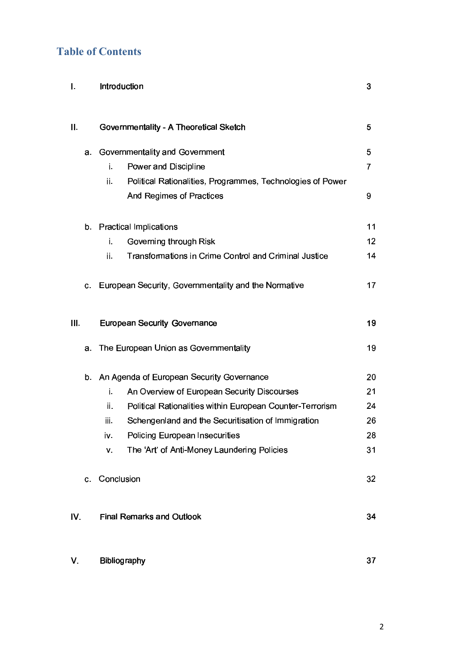### **Table of Contents**

| I.   |         | Introduction                                                      | 3       |
|------|---------|-------------------------------------------------------------------|---------|
| ΙΙ.  |         | Governmentality - A Theoretical Sketch                            | 5       |
|      | а.      | Governmentality and Government                                    | 5       |
|      |         | i.<br><b>Power and Discipline</b>                                 | 7       |
|      |         | Political Rationalities, Programmes, Technologies of Power<br>ii. |         |
|      |         | <b>And Regimes of Practices</b>                                   | 9       |
|      | b.      | <b>Practical Implications</b>                                     | 11      |
|      |         | Governing through Risk<br>i.                                      | $12 \,$ |
|      |         | Transformations in Crime Control and Criminal Justice<br>ii.      | 14      |
|      | $C_{1}$ | European Security, Governmentality and the Normative              | 17      |
| III. |         | <b>European Security Governance</b>                               | 19      |
|      | a.      | The European Union as Governmentality                             | 19      |
|      | b.      | An Agenda of European Security Governance                         | 20      |
|      |         | i.<br>An Overview of European Security Discourses                 | 21      |
|      |         | ii.<br>Political Rationalities within European Counter-Terrorism  | 24      |
|      |         | Schengenland and the Securitisation of Immigration<br>iii.        | 26      |
|      |         | <b>Policing European Insecurities</b><br>iv.                      | 28      |
|      |         | The 'Art' of Anti-Money Laundering Policies<br>V.                 | 31      |
|      | C.      | Conclusion                                                        | 32      |
| IV.  |         | <b>Final Remarks and Outlook</b>                                  | 34      |
| V.   |         | Bibliography                                                      | 37      |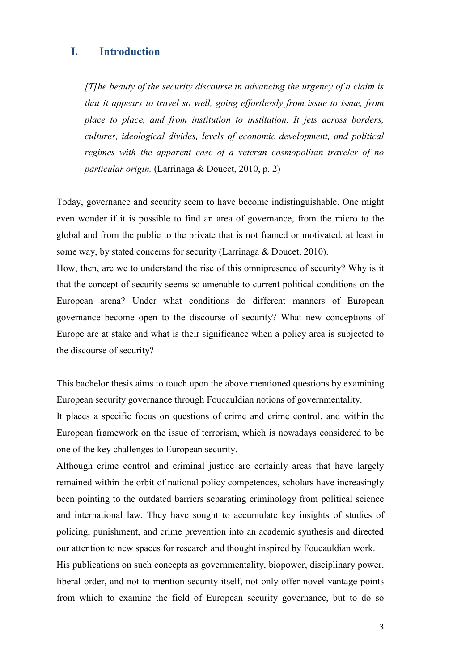#### **I. Introduction**

*[T]he beauty of the security discourse in advancing the urgency of a claim is that it appears to travel so well, going effortlessly from issue to issue, from place to place, and from institution to institution. It jets across borders, cultures, ideological divides, levels of economic development, and political regimes with the apparent ease of a veteran cosmopolitan traveler of no particular origin.* (Larrinaga & Doucet, 2010, p. 2)

Today, governance and security seem to have become indistinguishable. One might even wonder if it is possible to find an area of governance, from the micro to the global and from the public to the private that is not framed or motivated, at least in some way, by stated concerns for security (Larrinaga & Doucet, 2010).

How, then, are we to understand the rise of this omnipresence of security? Why is it that the concept of security seems so amenable to current political conditions on the European arena? Under what conditions do different manners of European governance become open to the discourse of security? What new conceptions of Europe are at stake and what is their significance when a policy area is subjected to the discourse of security?

This bachelor thesis aims to touch upon the above mentioned questions by examining European security governance through Foucauldian notions of governmentality.

It places a specific focus on questions of crime and crime control, and within the European framework on the issue of terrorism, which is nowadays considered to be one of the key challenges to European security.

Although crime control and criminal justice are certainly areas that have largely remained within the orbit of national policy competences, scholars have increasingly been pointing to the outdated barriers separating criminology from political science and international law. They have sought to accumulate key insights of studies of policing, punishment, and crime prevention into an academic synthesis and directed our attention to new spaces for research and thought inspired by Foucauldian work.

His publications on such concepts as governmentality, biopower, disciplinary power, liberal order, and not to mention security itself, not only offer novel vantage points from which to examine the field of European security governance, but to do so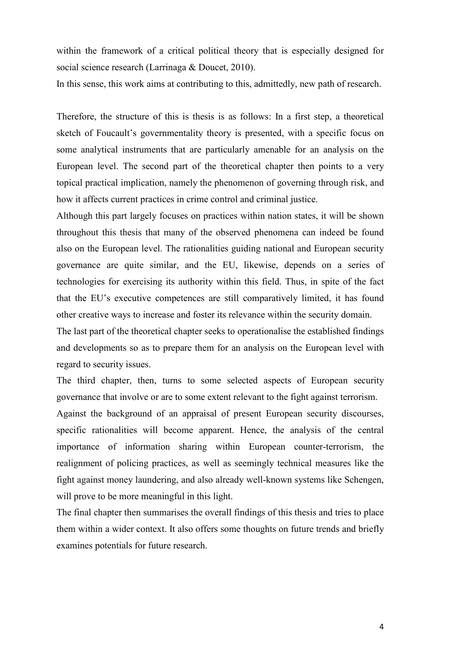within the framework of a critical political theory that is especially designed for social science research (Larrinaga & Doucet, 2010).

In this sense, this work aims at contributing to this, admittedly, new path of research.

Therefore, the structure of this is thesis is as follows: In a first step, a theoretical sketch of Foucault's governmentality theory is presented, with a specific focus on some analytical instruments that are particularly amenable for an analysis on the European level. The second part of the theoretical chapter then points to a very topical practical implication, namely the phenomenon of governing through risk, and how it affects current practices in crime control and criminal justice.

Although this part largely focuses on practices within nation states, it will be shown throughout this thesis that many of the observed phenomena can indeed be found also on the European level. The rationalities guiding national and European security governance are quite similar, and the EU, likewise, depends on a series of technologies for exercising its authority within this field. Thus, in spite of the fact that the EU's executive competences are still comparatively limited, it has found other creative ways to increase and foster its relevance within the security domain.

The last part of the theoretical chapter seeks to operationalise the established findings and developments so as to prepare them for an analysis on the European level with regard to security issues.

The third chapter, then, turns to some selected aspects of European security governance that involve or are to some extent relevant to the fight against terrorism. Against the background of an appraisal of present European security discourses, specific rationalities will become apparent. Hence, the analysis of the central importance of information sharing within European counter-terrorism, the realignment of policing practices, as well as seemingly technical measures like the fight against money laundering, and also already well-known systems like Schengen, will prove to be more meaningful in this light.

The final chapter then summarises the overall findings of this thesis and tries to place them within a wider context. It also offers some thoughts on future trends and briefly examines potentials for future research.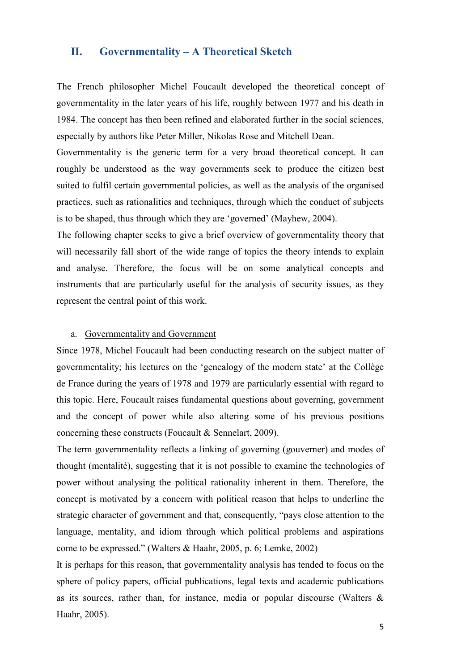#### **II. Governmentality – A Theoretical Sketch**

The French philosopher Michel Foucault developed the theoretical concept of governmentality in the later years of his life, roughly between 1977 and his death in 1984. The concept has then been refined and elaborated further in the social sciences, especially by authors like Peter Miller, [Nikolas Rose](http://en.wikipedia.org/wiki/Nikolas_Rose) and Mitchell Dean.

Governmentality is the generic term for a very broad theoretical concept. It can roughly be understood as the way governments seek to produce the citizen best suited to fulfil certain governmental policies, as well as the analysis of the organised practices, such as rationalities and techniques, through which the conduct of subjects is to be shaped, thus through which they are 'governed' (Mayhew, 2004).

The following chapter seeks to give a brief overview of governmentality theory that will necessarily fall short of the wide range of topics the theory intends to explain and analyse. Therefore, the focus will be on some analytical concepts and instruments that are particularly useful for the analysis of security issues, as they represent the central point of this work.

#### a. Governmentality and Government

Since 1978, Michel Foucault had been conducting research on the subject matter of governmentality; his lectures on the 'genealogy of the modern state' at the Collège de France during the years of 1978 and 1979 are particularly essential with regard to this topic. Here, Foucault raises fundamental questions about governing, government and the concept of power while also altering some of his previous positions concerning these constructs (Foucault & Sennelart, 2009).

The term governmentality reflects a linking of governing (gouverner) and modes of thought (mentalité), suggesting that it is not possible to examine the technologies of power without analysing the political rationality inherent in them. Therefore, the concept is motivated by a concern with political reason that helps to underline the strategic character of government and that, consequently, "pays close attention to the language, mentality, and idiom through which political problems and aspirations come to be expressed." (Walters & Haahr, 2005, p. 6; Lemke, 2002)

It is perhaps for this reason, that governmentality analysis has tended to focus on the sphere of policy papers, official publications, legal texts and academic publications as its sources, rather than, for instance, media or popular discourse (Walters & Haahr, 2005).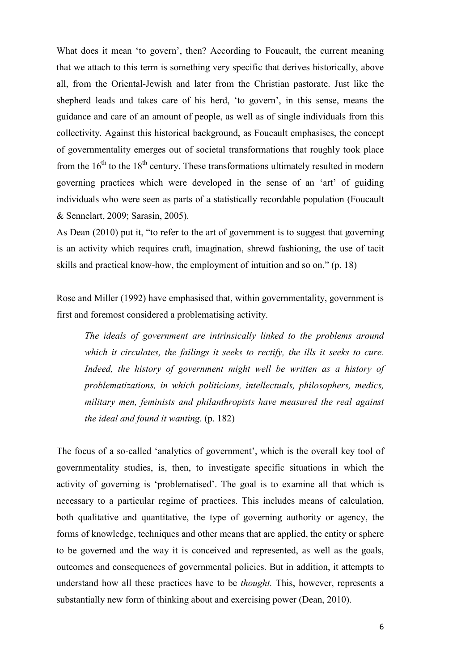What does it mean 'to govern', then? According to Foucault, the current meaning that we attach to this term is something very specific that derives historically, above all, from the Oriental-Jewish and later from the Christian pastorate. Just like the shepherd leads and takes care of his herd, 'to govern', in this sense, means the guidance and care of an amount of people, as well as of single individuals from this collectivity. Against this historical background, as Foucault emphasises, the concept of governmentality emerges out of societal transformations that roughly took place from the  $16<sup>th</sup>$  to the  $18<sup>th</sup>$  century. These transformations ultimately resulted in modern governing practices which were developed in the sense of an 'art' of guiding individuals who were seen as parts of a statistically recordable population (Foucault & Sennelart, 2009; Sarasin, 2005).

As Dean (2010) put it, "to refer to the art of government is to suggest that governing is an activity which requires craft, imagination, shrewd fashioning, the use of tacit skills and practical know-how, the employment of intuition and so on." (p. 18)

Rose and Miller (1992) have emphasised that, within governmentality, government is first and foremost considered a problematising activity.

*The ideals of government are intrinsically linked to the problems around which it circulates, the failings it seeks to rectify, the ills it seeks to cure.*  Indeed, the history of government might well be written as a history of *problematizations, in which politicians, intellectuals, philosophers, medics, military men, feminists and philanthropists have measured the real against the ideal and found it wanting.* (p. 182)

The focus of a so-called 'analytics of government', which is the overall key tool of governmentality studies, is, then, to investigate specific situations in which the activity of governing is 'problematised'. The goal is to examine all that which is necessary to a particular regime of practices. This includes means of calculation, both qualitative and quantitative, the type of governing authority or agency, the forms of knowledge, techniques and other means that are applied, the entity or sphere to be governed and the way it is conceived and represented, as well as the goals, outcomes and consequences of governmental policies. But in addition, it attempts to understand how all these practices have to be *thought.* This, however, represents a substantially new form of thinking about and exercising power (Dean, 2010).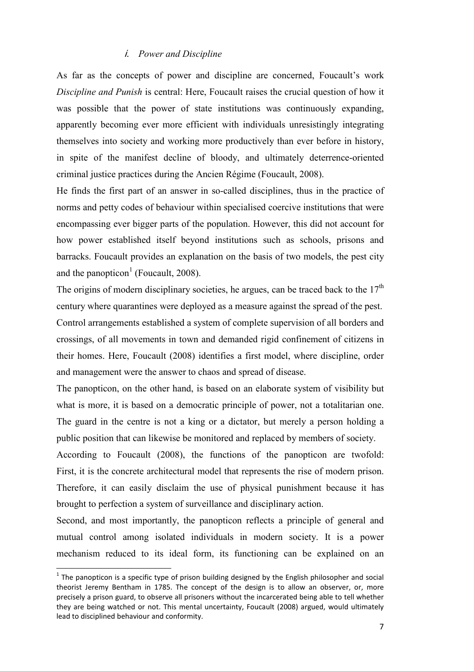#### - *Power and Discipline*

As far as the concepts of power and discipline are concerned, Foucault's work *Discipline and Punish* is central: Here, Foucault raises the crucial question of how it was possible that the power of state institutions was continuously expanding, apparently becoming ever more efficient with individuals unresistingly integrating themselves into society and working more productively than ever before in history, in spite of the manifest decline of bloody, and ultimately deterrence-oriented criminal justice practices during the Ancien Régime (Foucault, 2008).

He finds the first part of an answer in so-called disciplines, thus in the practice of norms and petty codes of behaviour within specialised coercive institutions that were encompassing ever bigger parts of the population. However, this did not account for how power established itself beyond institutions such as schools, prisons and barracks. Foucault provides an explanation on the basis of two models, the pest city and the panopticon<sup>1</sup> (Foucault, 2008).

The origins of modern disciplinary societies, he argues, can be traced back to the  $17<sup>th</sup>$ century where quarantines were deployed as a measure against the spread of the pest. Control arrangements established a system of complete supervision of all borders and crossings, of all movements in town and demanded rigid confinement of citizens in their homes. Here, Foucault (2008) identifies a first model, where discipline, order and management were the answer to chaos and spread of disease.

The panopticon, on the other hand, is based on an elaborate system of visibility but what is more, it is based on a democratic principle of power, not a totalitarian one. The guard in the centre is not a king or a dictator, but merely a person holding a public position that can likewise be monitored and replaced by members of society.

According to Foucault (2008), the functions of the panopticon are twofold: First, it is the concrete architectural model that represents the rise of modern prison. Therefore, it can easily disclaim the use of physical punishment because it has brought to perfection a system of surveillance and disciplinary action.

Second, and most importantly, the panopticon reflects a principle of general and mutual control among isolated individuals in modern society. It is a power mechanism reduced to its ideal form, its functioning can be explained on an

l

 $^1$  The panopticon is a specific type o[f prison](http://en.wikipedia.org/wiki/Prison) building designed by the English philosopher and social theorist [Jeremy Bentham](http://en.wikipedia.org/wiki/Jeremy_Bentham) in 1785. The concept of the design is to allow an observer, or, more precisely a prison guard, to observe all prisoners without the incarcerated being able to tell whether they are being watched or not. This mental uncertainty, Foucault (2008) argued, would ultimately lead to disciplined behaviour and conformity.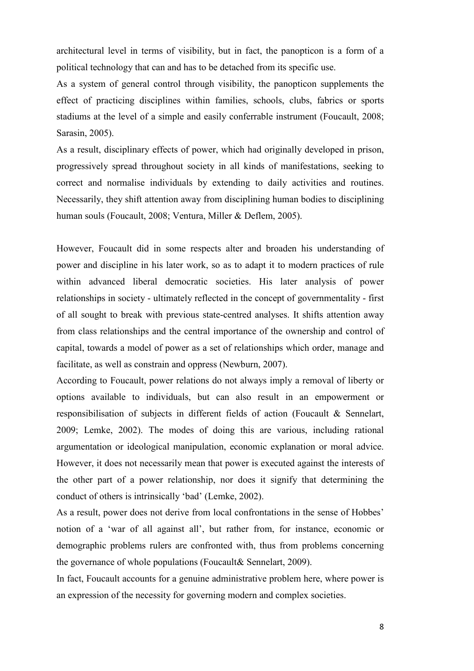architectural level in terms of visibility, but in fact, the panopticon is a form of a political technology that can and has to be detached from its specific use.

As a system of general control through visibility, the panopticon supplements the effect of practicing disciplines within families, schools, clubs, fabrics or sports stadiums at the level of a simple and easily conferrable instrument (Foucault, 2008; Sarasin, 2005).

As a result, disciplinary effects of power, which had originally developed in prison, progressively spread throughout society in all kinds of manifestations, seeking to correct and normalise individuals by extending to daily activities and routines. Necessarily, they shift attention away from disciplining human bodies to disciplining human souls (Foucault, 2008; Ventura, Miller & Deflem, 2005).

However, Foucault did in some respects alter and broaden his understanding of power and discipline in his later work, so as to adapt it to modern practices of rule within advanced liberal democratic societies. His later analysis of power relationships in society - ultimately reflected in the concept of governmentality - first of all sought to break with previous state-centred analyses. It shifts attention away from class relationships and the central importance of the ownership and control of capital, towards a model of power as a set of relationships which order, manage and facilitate, as well as constrain and oppress (Newburn, 2007).

According to Foucault, power relations do not always imply a removal of liberty or options available to individuals, but can also result in an empowerment or responsibilisation of subjects in different fields of action (Foucault & Sennelart, 2009; Lemke, 2002). The modes of doing this are various, including rational argumentation or ideological manipulation, economic explanation or moral advice. However, it does not necessarily mean that power is executed against the interests of the other part of a power relationship, nor does it signify that determining the conduct of others is intrinsically 'bad' (Lemke, 2002).

As a result, power does not derive from local confrontations in the sense of Hobbes' notion of a 'war of all against all', but rather from, for instance, economic or demographic problems rulers are confronted with, thus from problems concerning the governance of whole populations (Foucault& Sennelart, 2009).

In fact, Foucault accounts for a genuine administrative problem here, where power is an expression of the necessity for governing modern and complex societies.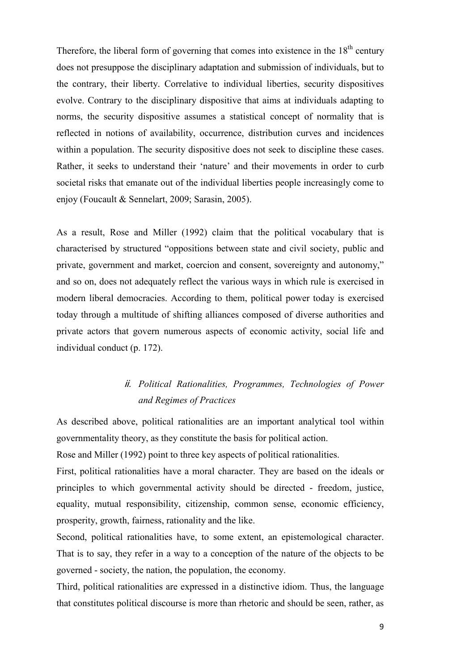Therefore, the liberal form of governing that comes into existence in the  $18<sup>th</sup>$  century does not presuppose the disciplinary adaptation and submission of individuals, but to the contrary, their liberty. Correlative to individual liberties, security dispositives evolve. Contrary to the disciplinary dispositive that aims at individuals adapting to norms, the security dispositive assumes a statistical concept of normality that is reflected in notions of availability, occurrence, distribution curves and incidences within a population. The security dispositive does not seek to discipline these cases. Rather, it seeks to understand their 'nature' and their movements in order to curb societal risks that emanate out of the individual liberties people increasingly come to enjoy (Foucault & Sennelart, 2009; Sarasin, 2005).

As a result, Rose and Miller (1992) claim that the political vocabulary that is characterised by structured "oppositions between state and civil society, public and private, government and market, coercion and consent, sovereignty and autonomy," and so on, does not adequately reflect the various ways in which rule is exercised in modern liberal democracies. According to them, political power today is exercised today through a multitude of shifting alliances composed of diverse authorities and private actors that govern numerous aspects of economic activity, social life and individual conduct (p. 172).

## ii. Political Rationalities, Programmes, Technologies of Power *and Regimes of Practices*

As described above, political rationalities are an important analytical tool within governmentality theory, as they constitute the basis for political action.

Rose and Miller (1992) point to three key aspects of political rationalities.

First, political rationalities have a moral character. They are based on the ideals or principles to which governmental activity should be directed - freedom, justice, equality, mutual responsibility, citizenship, common sense, economic efficiency, prosperity, growth, fairness, rationality and the like.

Second, political rationalities have, to some extent, an epistemological character. That is to say, they refer in a way to a conception of the nature of the objects to be governed - society, the nation, the population, the economy.

Third, political rationalities are expressed in a distinctive idiom. Thus, the language that constitutes political discourse is more than rhetoric and should be seen, rather, as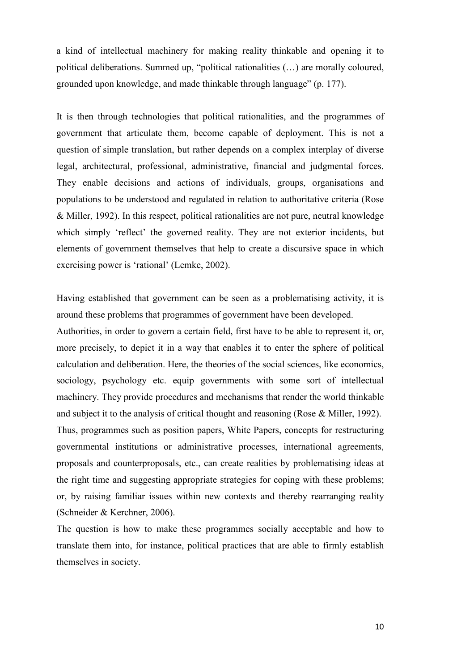a kind of intellectual machinery for making reality thinkable and opening it to political deliberations. Summed up, "political rationalities (…) are morally coloured, grounded upon knowledge, and made thinkable through language" (p. 177).

It is then through technologies that political rationalities, and the programmes of government that articulate them, become capable of deployment. This is not a question of simple translation, but rather depends on a complex interplay of diverse legal, architectural, professional, administrative, financial and judgmental forces. They enable decisions and actions of individuals, groups, organisations and populations to be understood and regulated in relation to authoritative criteria (Rose & Miller, 1992). In this respect, political rationalities are not pure, neutral knowledge which simply 'reflect' the governed reality. They are not exterior incidents, but elements of government themselves that help to create a discursive space in which exercising power is 'rational' (Lemke, 2002).

Having established that government can be seen as a problematising activity, it is around these problems that programmes of government have been developed.

Authorities, in order to govern a certain field, first have to be able to represent it, or, more precisely, to depict it in a way that enables it to enter the sphere of political calculation and deliberation. Here, the theories of the social sciences, like economics, sociology, psychology etc. equip governments with some sort of intellectual machinery. They provide procedures and mechanisms that render the world thinkable and subject it to the analysis of critical thought and reasoning (Rose & Miller, 1992). Thus, programmes such as position papers, White Papers, concepts for restructuring governmental institutions or administrative processes, international agreements, proposals and counterproposals, etc., can create realities by problematising ideas at the right time and suggesting appropriate strategies for coping with these problems; or, by raising familiar issues within new contexts and thereby rearranging reality (Schneider & Kerchner, 2006).

The question is how to make these programmes socially acceptable and how to translate them into, for instance, political practices that are able to firmly establish themselves in society.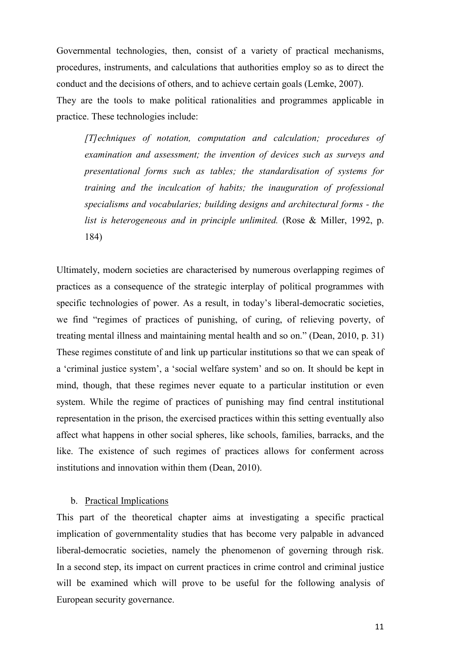Governmental technologies, then, consist of a variety of practical mechanisms, procedures, instruments, and calculations that authorities employ so as to direct the conduct and the decisions of others, and to achieve certain goals (Lemke, 2007). They are the tools to make political rationalities and programmes applicable in practice. These technologies include:

*[T]echniques of notation, computation and calculation; procedures of examination and assessment; the invention of devices such as surveys and presentational forms such as tables; the standardisation of systems for training and the inculcation of habits; the inauguration of professional specialisms and vocabularies; building designs and architectural forms - the list is heterogeneous and in principle unlimited.* (Rose & Miller, 1992, p. 184)

Ultimately, modern societies are characterised by numerous overlapping regimes of practices as a consequence of the strategic interplay of political programmes with specific technologies of power. As a result, in today's liberal-democratic societies, we find "regimes of practices of punishing, of curing, of relieving poverty, of treating mental illness and maintaining mental health and so on." (Dean, 2010, p. 31) These regimes constitute of and link up particular institutions so that we can speak of a 'criminal justice system', a 'social welfare system' and so on. It should be kept in mind, though, that these regimes never equate to a particular institution or even system. While the regime of practices of punishing may find central institutional representation in the prison, the exercised practices within this setting eventually also affect what happens in other social spheres, like schools, families, barracks, and the like. The existence of such regimes of practices allows for conferment across institutions and innovation within them (Dean, 2010).

#### b. Practical Implications

This part of the theoretical chapter aims at investigating a specific practical implication of governmentality studies that has become very palpable in advanced liberal-democratic societies, namely the phenomenon of governing through risk. In a second step, its impact on current practices in crime control and criminal justice will be examined which will prove to be useful for the following analysis of European security governance.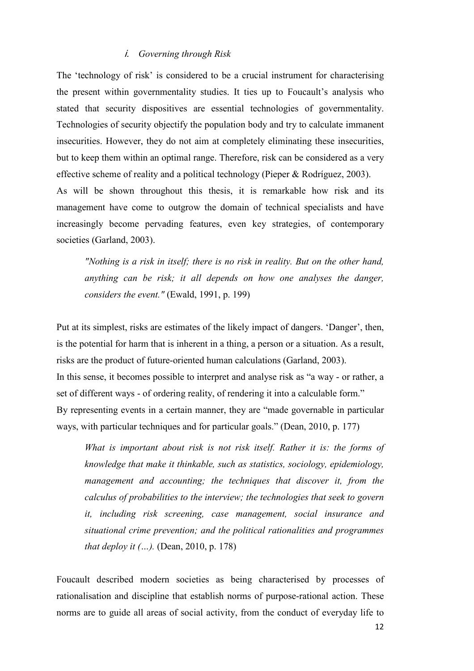#### - *Governing through Risk*

The 'technology of risk' is considered to be a crucial instrument for characterising the present within governmentality studies. It ties up to Foucault's analysis who stated that security dispositives are essential technologies of governmentality. Technologies of security objectify the population body and try to calculate immanent insecurities. However, they do not aim at completely eliminating these insecurities, but to keep them within an optimal range. Therefore, risk can be considered as a very effective scheme of reality and a political technology (Pieper & Rodríguez, 2003). As will be shown throughout this thesis, it is remarkable how risk and its management have come to outgrow the domain of technical specialists and have increasingly become pervading features, even key strategies, of contemporary societies (Garland, 2003).

*"Nothing is a risk in itself; there is no risk in reality. But on the other hand, anything can be risk; it all depends on how one analyses the danger, considers the event."* (Ewald, 1991, p. 199)

Put at its simplest, risks are estimates of the likely impact of dangers. 'Danger', then, is the potential for harm that is inherent in a thing, a person or a situation. As a result, risks are the product of future-oriented human calculations (Garland, 2003). In this sense, it becomes possible to interpret and analyse risk as "a way - or rather, a set of different ways - of ordering reality, of rendering it into a calculable form." By representing events in a certain manner, they are "made governable in particular ways, with particular techniques and for particular goals." (Dean, 2010, p. 177)

*What is important about risk is not risk itself. Rather it is: the forms of knowledge that make it thinkable, such as statistics, sociology, epidemiology, management and accounting; the techniques that discover it, from the calculus of probabilities to the interview; the technologies that seek to govern it, including risk screening, case management, social insurance and situational crime prevention; and the political rationalities and programmes that deploy it (...).* (Dean, 2010, p. 178)

Foucault described modern societies as being characterised by processes of rationalisation and discipline that establish norms of purpose-rational action. These norms are to guide all areas of social activity, from the conduct of everyday life to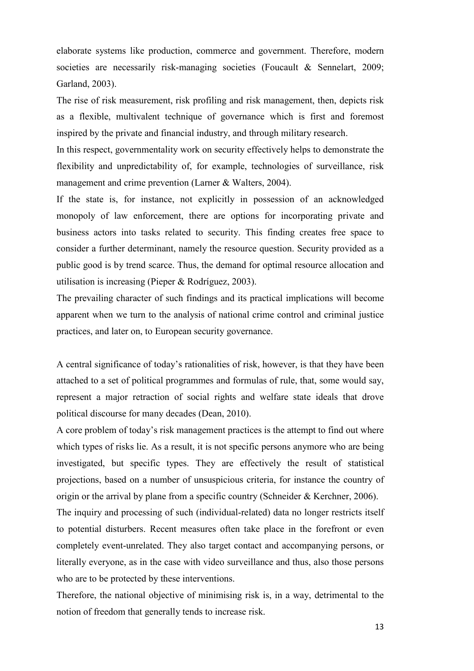elaborate systems like production, commerce and government. Therefore, modern societies are necessarily risk-managing societies (Foucault & Sennelart, 2009; Garland, 2003).

The rise of risk measurement, risk profiling and risk management, then, depicts risk as a flexible, multivalent technique of governance which is first and foremost inspired by the private and financial industry, and through military research.

In this respect, governmentality work on security effectively helps to demonstrate the flexibility and unpredictability of, for example, technologies of surveillance, risk management and crime prevention (Larner & Walters, 2004).

If the state is, for instance, not explicitly in possession of an acknowledged monopoly of law enforcement, there are options for incorporating private and business actors into tasks related to security. This finding creates free space to consider a further determinant, namely the resource question. Security provided as a public good is by trend scarce. Thus, the demand for optimal resource allocation and utilisation is increasing (Pieper & Rodríguez, 2003).

The prevailing character of such findings and its practical implications will become apparent when we turn to the analysis of national crime control and criminal justice practices, and later on, to European security governance.

A central significance of today's rationalities of risk, however, is that they have been attached to a set of political programmes and formulas of rule, that, some would say, represent a major retraction of social rights and welfare state ideals that drove political discourse for many decades (Dean, 2010).

A core problem of today's risk management practices is the attempt to find out where which types of risks lie. As a result, it is not specific persons anymore who are being investigated, but specific types. They are effectively the result of statistical projections, based on a number of unsuspicious criteria, for instance the country of origin or the arrival by plane from a specific country (Schneider & Kerchner, 2006).

The inquiry and processing of such (individual-related) data no longer restricts itself to potential disturbers. Recent measures often take place in the forefront or even completely event-unrelated. They also target contact and accompanying persons, or literally everyone, as in the case with video surveillance and thus, also those persons who are to be protected by these interventions.

Therefore, the national objective of minimising risk is, in a way, detrimental to the notion of freedom that generally tends to increase risk.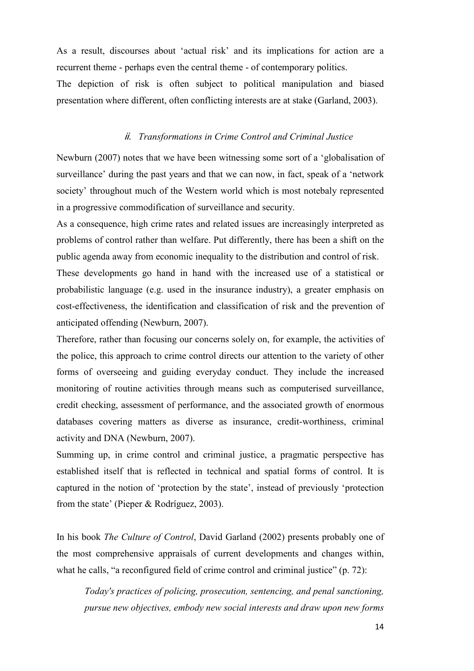As a result, discourses about 'actual risk' and its implications for action are a recurrent theme - perhaps even the central theme - of contemporary politics. The depiction of risk is often subject to political manipulation and biased presentation where different, often conflicting interests are at stake (Garland, 2003).

#### - *Transformations in Crime Control and Criminal Justice*

Newburn (2007) notes that we have been witnessing some sort of a 'globalisation of surveillance' during the past years and that we can now, in fact, speak of a 'network society' throughout much of the Western world which is most notebaly represented in a progressive commodification of surveillance and security.

As a consequence, high crime rates and related issues are increasingly interpreted as problems of control rather than welfare. Put differently, there has been a shift on the public agenda away from economic inequality to the distribution and control of risk. These developments go hand in hand with the increased use of a statistical or probabilistic language (e.g. used in the insurance industry), a greater emphasis on cost-effectiveness, the identification and classification of risk and the prevention of anticipated offending (Newburn, 2007).

Therefore, rather than focusing our concerns solely on, for example, the activities of the police, this approach to crime control directs our attention to the variety of other forms of overseeing and guiding everyday conduct. They include the increased monitoring of routine activities through means such as computerised surveillance, credit checking, assessment of performance, and the associated growth of enormous databases covering matters as diverse as insurance, credit-worthiness, criminal activity and DNA (Newburn, 2007).

Summing up, in crime control and criminal justice, a pragmatic perspective has established itself that is reflected in technical and spatial forms of control. It is captured in the notion of 'protection by the state', instead of previously 'protection from the state' (Pieper & Rodríguez, 2003).

In his book *The Culture of Control*, David Garland (2002) presents probably one of the most comprehensive appraisals of current developments and changes within, what he calls, "a reconfigured field of crime control and criminal justice" (p. 72):

*Today's practices of policing, prosecution, sentencing, and penal sanctioning, pursue new objectives, embody new social interests and draw upon new forms*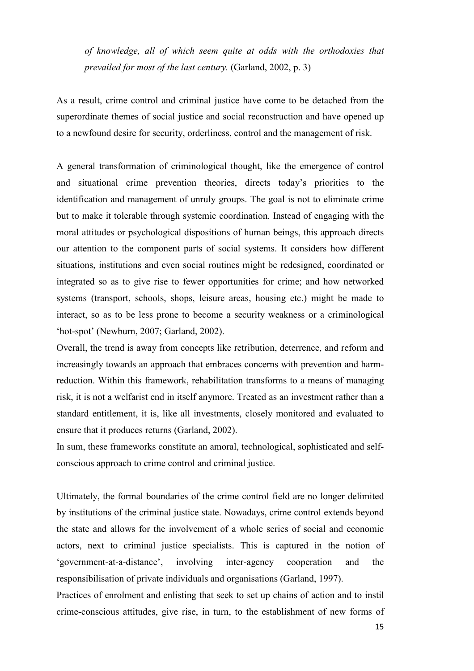*of knowledge, all of which seem quite at odds with the orthodoxies that prevailed for most of the last century.* (Garland, 2002, p. 3)

As a result, crime control and criminal justice have come to be detached from the superordinate themes of social justice and social reconstruction and have opened up to a newfound desire for security, orderliness, control and the management of risk.

A general transformation of criminological thought, like the emergence of control and situational crime prevention theories, directs today's priorities to the identification and management of unruly groups. The goal is not to eliminate crime but to make it tolerable through systemic coordination. Instead of engaging with the moral attitudes or psychological dispositions of human beings, this approach directs our attention to the component parts of social systems. It considers how different situations, institutions and even social routines might be redesigned, coordinated or integrated so as to give rise to fewer opportunities for crime; and how networked systems (transport, schools, shops, leisure areas, housing etc.) might be made to interact, so as to be less prone to become a security weakness or a criminological 'hot-spot' (Newburn, 2007; Garland, 2002).

Overall, the trend is away from concepts like retribution, deterrence, and reform and increasingly towards an approach that embraces concerns with prevention and harmreduction. Within this framework, rehabilitation transforms to a means of managing risk, it is not a welfarist end in itself anymore. Treated as an investment rather than a standard entitlement, it is, like all investments, closely monitored and evaluated to ensure that it produces returns (Garland, 2002).

In sum, these frameworks constitute an amoral, technological, sophisticated and selfconscious approach to crime control and criminal justice.

Ultimately, the formal boundaries of the crime control field are no longer delimited by institutions of the criminal justice state. Nowadays, crime control extends beyond the state and allows for the involvement of a whole series of social and economic actors, next to criminal justice specialists. This is captured in the notion of 'government-at-a-distance', involving inter-agency cooperation and the responsibilisation of private individuals and organisations (Garland, 1997).

Practices of enrolment and enlisting that seek to set up chains of action and to instil crime-conscious attitudes, give rise, in turn, to the establishment of new forms of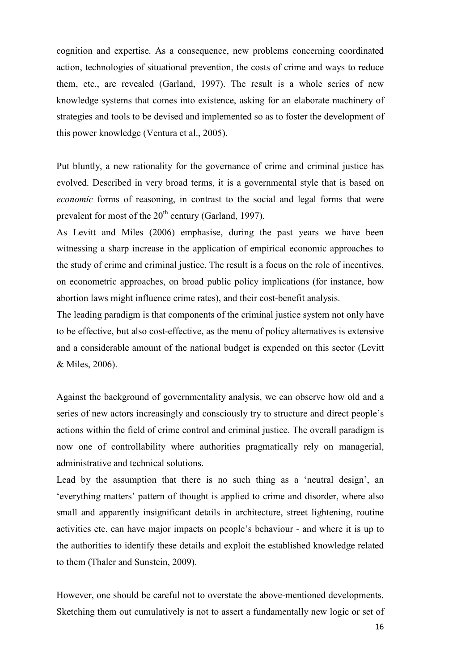cognition and expertise. As a consequence, new problems concerning coordinated action, technologies of situational prevention, the costs of crime and ways to reduce them, etc., are revealed (Garland, 1997). The result is a whole series of new knowledge systems that comes into existence, asking for an elaborate machinery of strategies and tools to be devised and implemented so as to foster the development of this power knowledge (Ventura et al., 2005).

Put bluntly, a new rationality for the governance of crime and criminal justice has evolved. Described in very broad terms, it is a governmental style that is based on *economic* forms of reasoning, in contrast to the social and legal forms that were prevalent for most of the  $20<sup>th</sup>$  century (Garland, 1997).

As Levitt and Miles (2006) emphasise, during the past years we have been witnessing a sharp increase in the application of empirical economic approaches to the study of crime and criminal justice. The result is a focus on the role of incentives, on econometric approaches, on broad public policy implications (for instance, how abortion laws might influence crime rates), and their cost-benefit analysis.

The leading paradigm is that components of the criminal justice system not only have to be effective, but also cost-effective, as the menu of policy alternatives is extensive and a considerable amount of the national budget is expended on this sector (Levitt & Miles, 2006).

Against the background of governmentality analysis, we can observe how old and a series of new actors increasingly and consciously try to structure and direct people's actions within the field of crime control and criminal justice. The overall paradigm is now one of controllability where authorities pragmatically rely on managerial, administrative and technical solutions.

Lead by the assumption that there is no such thing as a 'neutral design', an 'everything matters' pattern of thought is applied to crime and disorder, where also small and apparently insignificant details in architecture, street lightening, routine activities etc. can have major impacts on people's behaviour - and where it is up to the authorities to identify these details and exploit the established knowledge related to them (Thaler and Sunstein, 2009).

However, one should be careful not to overstate the above-mentioned developments. Sketching them out cumulatively is not to assert a fundamentally new logic or set of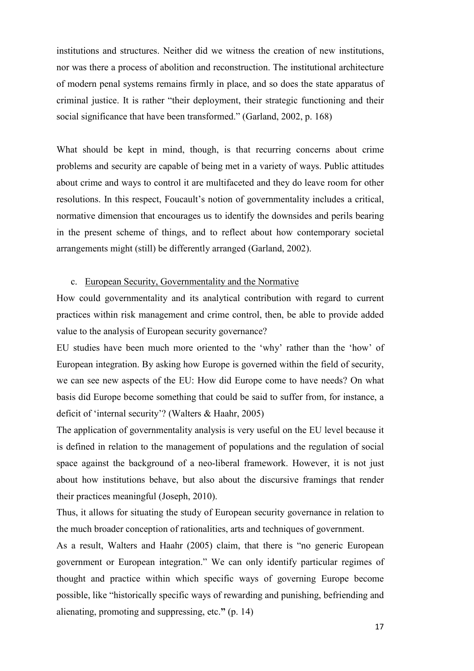institutions and structures. Neither did we witness the creation of new institutions, nor was there a process of abolition and reconstruction. The institutional architecture of modern penal systems remains firmly in place, and so does the state apparatus of criminal justice. It is rather "their deployment, their strategic functioning and their social significance that have been transformed." (Garland, 2002, p. 168)

What should be kept in mind, though, is that recurring concerns about crime problems and security are capable of being met in a variety of ways. Public attitudes about crime and ways to control it are multifaceted and they do leave room for other resolutions. In this respect, Foucault's notion of governmentality includes a critical, normative dimension that encourages us to identify the downsides and perils bearing in the present scheme of things, and to reflect about how contemporary societal arrangements might (still) be differently arranged (Garland, 2002).

#### c. European Security, Governmentality and the Normative

How could governmentality and its analytical contribution with regard to current practices within risk management and crime control, then, be able to provide added value to the analysis of European security governance?

EU studies have been much more oriented to the 'why' rather than the 'how' of European integration. By asking how Europe is governed within the field of security, we can see new aspects of the EU: How did Europe come to have needs? On what basis did Europe become something that could be said to suffer from, for instance, a deficit of 'internal security'? (Walters & Haahr, 2005)

The application of governmentality analysis is very useful on the EU level because it is defined in relation to the management of populations and the regulation of social space against the background of a neo-liberal framework. However, it is not just about how institutions behave, but also about the discursive framings that render their practices meaningful (Joseph, 2010).

Thus, it allows for situating the study of European security governance in relation to the much broader conception of rationalities, arts and techniques of government.

As a result, Walters and Haahr (2005) claim, that there is "no generic European government or European integration." We can only identify particular regimes of thought and practice within which specific ways of governing Europe become possible, like "historically specific ways of rewarding and punishing, befriending and alienating, promoting and suppressing, etc.**"** (p. 14)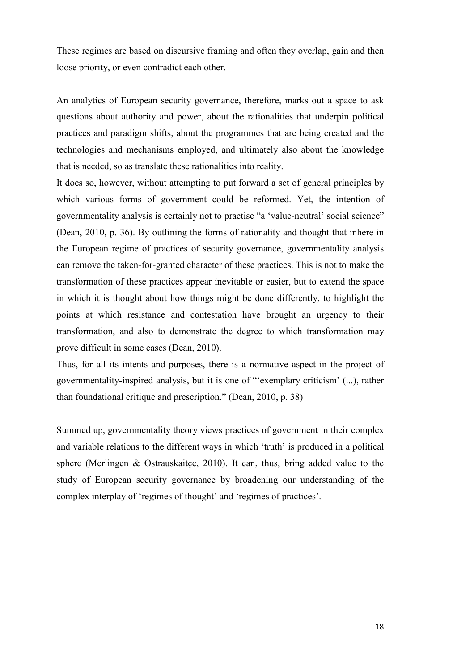These regimes are based on discursive framing and often they overlap, gain and then loose priority, or even contradict each other.

An analytics of European security governance, therefore, marks out a space to ask questions about authority and power, about the rationalities that underpin political practices and paradigm shifts, about the programmes that are being created and the technologies and mechanisms employed, and ultimately also about the knowledge that is needed, so as translate these rationalities into reality.

It does so, however, without attempting to put forward a set of general principles by which various forms of government could be reformed. Yet, the intention of governmentality analysis is certainly not to practise "a 'value-neutral' social science" (Dean, 2010, p. 36). By outlining the forms of rationality and thought that inhere in the European regime of practices of security governance, governmentality analysis can remove the taken-for-granted character of these practices. This is not to make the transformation of these practices appear inevitable or easier, but to extend the space in which it is thought about how things might be done differently, to highlight the points at which resistance and contestation have brought an urgency to their transformation, and also to demonstrate the degree to which transformation may prove difficult in some cases (Dean, 2010).

Thus, for all its intents and purposes, there is a normative aspect in the project of governmentality-inspired analysis, but it is one of "'exemplary criticism' (...), rather than foundational critique and prescription." (Dean, 2010, p. 38)

Summed up, governmentality theory views practices of government in their complex and variable relations to the different ways in which 'truth' is produced in a political sphere (Merlingen & Ostrauskaitçe, 2010). It can, thus, bring added value to the study of European security governance by broadening our understanding of the complex interplay of 'regimes of thought' and 'regimes of practices'.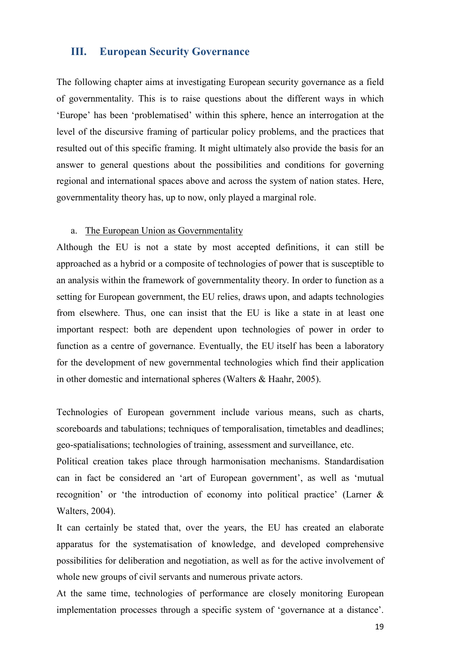#### **III. European Security Governance**

The following chapter aims at investigating European security governance as a field of governmentality. This is to raise questions about the different ways in which 'Europe' has been 'problematised' within this sphere, hence an interrogation at the level of the discursive framing of particular policy problems, and the practices that resulted out of this specific framing. It might ultimately also provide the basis for an answer to general questions about the possibilities and conditions for governing regional and international spaces above and across the system of nation states. Here, governmentality theory has, up to now, only played a marginal role.

#### a. The European Union as Governmentality

Although the EU is not a state by most accepted definitions, it can still be approached as a hybrid or a composite of technologies of power that is susceptible to an analysis within the framework of governmentality theory. In order to function as a setting for European government, the EU relies, draws upon, and adapts technologies from elsewhere. Thus, one can insist that the EU is like a state in at least one important respect: both are dependent upon technologies of power in order to function as a centre of governance. Eventually, the EU itself has been a laboratory for the development of new governmental technologies which find their application in other domestic and international spheres (Walters & Haahr, 2005).

Technologies of European government include various means, such as charts, scoreboards and tabulations; techniques of temporalisation, timetables and deadlines; geo-spatialisations; technologies of training, assessment and surveillance, etc.

Political creation takes place through harmonisation mechanisms. Standardisation can in fact be considered an 'art of European government', as well as 'mutual recognition' or 'the introduction of economy into political practice' (Larner & Walters, 2004).

It can certainly be stated that, over the years, the EU has created an elaborate apparatus for the systematisation of knowledge, and developed comprehensive possibilities for deliberation and negotiation, as well as for the active involvement of whole new groups of civil servants and numerous private actors.

At the same time, technologies of performance are closely monitoring European implementation processes through a specific system of 'governance at a distance'.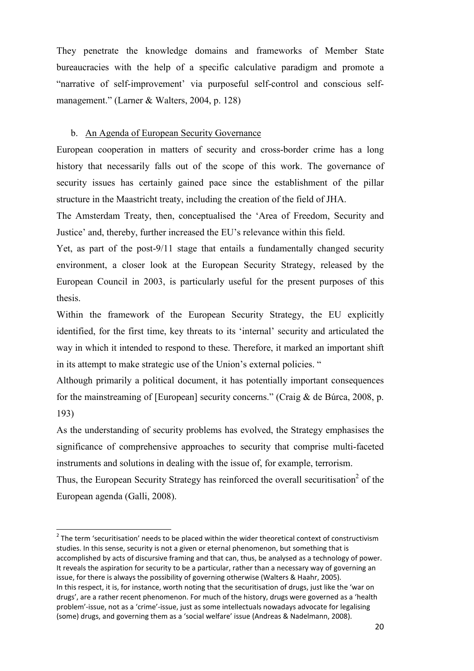They penetrate the knowledge domains and frameworks of Member State bureaucracies with the help of a specific calculative paradigm and promote a "narrative of self-improvement' via purposeful self-control and conscious selfmanagement." (Larner & Walters, 2004, p. 128)

#### b. An Agenda of European Security Governance

European cooperation in matters of security and cross-border crime has a long history that necessarily falls out of the scope of this work. The governance of security issues has certainly gained pace since the establishment of the pillar structure in the Maastricht treaty, including the creation of the field of JHA.

The Amsterdam Treaty, then, conceptualised the 'Area of Freedom, Security and Justice' and, thereby, further increased the EU's relevance within this field.

Yet, as part of the post-9/11 stage that entails a fundamentally changed security environment, a closer look at the European Security Strategy, released by the European Council in 2003, is particularly useful for the present purposes of this thesis.

Within the framework of the European Security Strategy, the EU explicitly identified, for the first time, key threats to its 'internal' security and articulated the way in which it intended to respond to these. Therefore, it marked an important shift in its attempt to make strategic use of the Union's external policies. "

Although primarily a political document, it has potentially important consequences for the mainstreaming of [European] security concerns." (Craig & de Búrca, 2008, p. 193)

As the understanding of security problems has evolved, the Strategy emphasises the significance of comprehensive approaches to security that comprise multi-faceted instruments and solutions in dealing with the issue of, for example, terrorism.

Thus, the European Security Strategy has reinforced the overall securitisation<sup>2</sup> of the European agenda (Galli, 2008).

 $\overline{\phantom{0}}$ 

 $2$  The term 'securitisation' needs to be placed within the wider theoretical context of constructivism studies. In this sense, security is not a given or eternal phenomenon, but something that is accomplished by acts of discursive framing and that can, thus, be analysed as a technology of power. It reveals the aspiration for security to be a particular, rather than a necessary way of governing an issue, for there is always the possibility of governing otherwise (Walters & Haahr, 2005). In this respect, it is, for instance, worth noting that the securitisation of drugs, just like the 'war on drugs', are a rather recent phenomenon. For much of the history, drugs were governed as a 'health problem'-issue, not as a 'crime'-issue, just as some intellectuals nowadays advocate for legalising (some) drugs, and governing them as a 'social welfare' issue (Andreas & Nadelmann, 2008).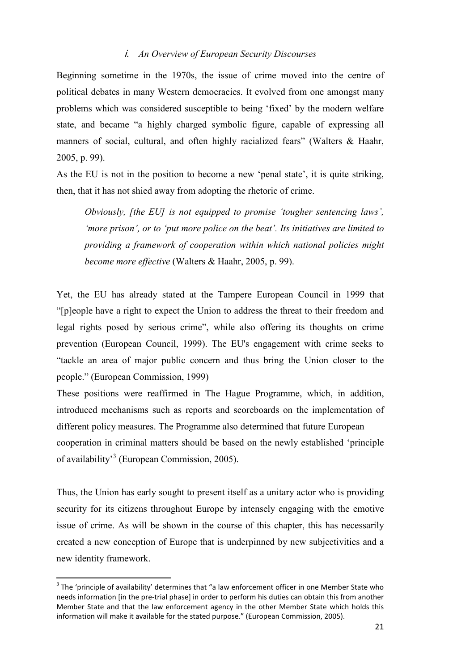#### - *An Overview of European Security Discourses*

Beginning sometime in the 1970s, the issue of crime moved into the centre of political debates in many Western democracies. It evolved from one amongst many problems which was considered susceptible to being 'fixed' by the modern welfare state, and became "a highly charged symbolic figure, capable of expressing all manners of social, cultural, and often highly racialized fears" (Walters & Haahr, 2005, p. 99).

As the EU is not in the position to become a new 'penal state', it is quite striking, then, that it has not shied away from adopting the rhetoric of crime.

*Obviously, [the EU] is not equipped to promise 'tougher sentencing laws', 'more prison', or to 'put more police on the beat'. Its initiatives are limited to providing a framework of cooperation within which national policies might become more effective* (Walters & Haahr, 2005, p. 99).

Yet, the EU has already stated at the Tampere European Council in 1999 that "[p]eople have a right to expect the Union to address the threat to their freedom and legal rights posed by serious crime", while also offering its thoughts on crime prevention (European Council, 1999). The EU's engagement with crime seeks to "tackle an area of major public concern and thus bring the Union closer to the people." (European Commission, 1999)

These positions were reaffirmed in The Hague Programme, which, in addition, introduced mechanisms such as reports and scoreboards on the implementation of different policy measures. The Programme also determined that future European cooperation in criminal matters should be based on the newly established 'principle of availability<sup>3</sup> (European Commission, 2005).

Thus, the Union has early sought to present itself as a unitary actor who is providing security for its citizens throughout Europe by intensely engaging with the emotive issue of crime. As will be shown in the course of this chapter, this has necessarily created a new conception of Europe that is underpinned by new subjectivities and a new identity framework.

 $\overline{a}$ 

 $3$  The 'principle of availability' determines that "a law enforcement officer in one Member State who needs information [in the pre-trial phase] in order to perform his duties can obtain this from another Member State and that the law enforcement agency in the other Member State which holds this information will make it available for the stated purpose." (European Commission, 2005).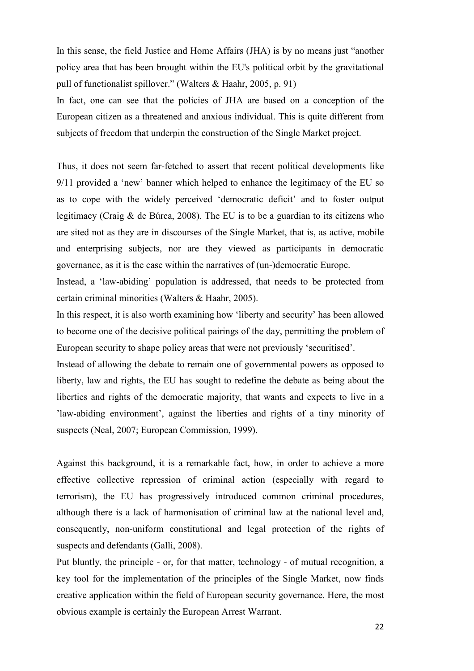In this sense, the field Justice and Home Affairs (JHA) is by no means just "another policy area that has been brought within the EU's political orbit by the gravitational pull of functionalist spillover." (Walters & Haahr, 2005, p. 91)

In fact, one can see that the policies of JHA are based on a conception of the European citizen as a threatened and anxious individual. This is quite different from subjects of freedom that underpin the construction of the Single Market project.

Thus, it does not seem far-fetched to assert that recent political developments like 9/11 provided a 'new' banner which helped to enhance the legitimacy of the EU so as to cope with the widely perceived 'democratic deficit' and to foster output legitimacy (Craig & de Búrca, 2008). The EU is to be a guardian to its citizens who are sited not as they are in discourses of the Single Market, that is, as active, mobile and enterprising subjects, nor are they viewed as participants in democratic governance, as it is the case within the narratives of (un-)democratic Europe.

Instead, a 'law-abiding' population is addressed, that needs to be protected from certain criminal minorities (Walters & Haahr, 2005).

In this respect, it is also worth examining how 'liberty and security' has been allowed to become one of the decisive political pairings of the day, permitting the problem of European security to shape policy areas that were not previously 'securitised'.

Instead of allowing the debate to remain one of governmental powers as opposed to liberty, law and rights, the EU has sought to redefine the debate as being about the liberties and rights of the democratic majority, that wants and expects to live in a 'law-abiding environment', against the liberties and rights of a tiny minority of suspects (Neal, 2007; European Commission, 1999).

Against this background, it is a remarkable fact, how, in order to achieve a more effective collective repression of criminal action (especially with regard to terrorism), the EU has progressively introduced common criminal procedures, although there is a lack of harmonisation of criminal law at the national level and, consequently, non-uniform constitutional and legal protection of the rights of suspects and defendants (Galli, 2008).

Put bluntly, the principle - or, for that matter, technology - of mutual recognition, a key tool for the implementation of the principles of the Single Market, now finds creative application within the field of European security governance. Here, the most obvious example is certainly the European Arrest Warrant.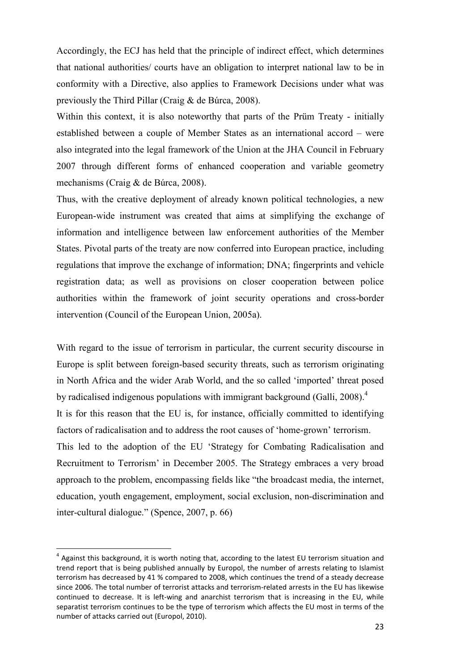Accordingly, the ECJ has held that the principle of indirect effect, which determines that national authorities/ courts have an obligation to interpret national law to be in conformity with a Directive, also applies to Framework Decisions under what was previously the Third Pillar (Craig & de Búrca, 2008).

Within this context, it is also noteworthy that parts of the Prüm Treaty - initially established between a couple of Member States as an international accord – were also integrated into the legal framework of the Union at the JHA Council in February 2007 through different forms of enhanced cooperation and variable geometry mechanisms (Craig & de Búrca, 2008).

Thus, with the creative deployment of already known political technologies, a new European-wide instrument was created that aims at simplifying the exchange of information and intelligence between law enforcement authorities of the Member States. Pivotal parts of the treaty are now conferred into European practice, including regulations that improve the exchange of information; DNA; fingerprints and vehicle registration data; as well as provisions on closer cooperation between police authorities within the framework of joint security operations and cross-border intervention (Council of the European Union, 2005a).

With regard to the issue of terrorism in particular, the current security discourse in Europe is split between foreign-based security threats, such as terrorism originating in North Africa and the wider Arab World, and the so called 'imported' threat posed by radicalised indigenous populations with immigrant background (Galli, 2008).<sup>4</sup> It is for this reason that the EU is, for instance, officially committed to identifying factors of radicalisation and to address the root causes of 'home-grown' terrorism. This led to the adoption of the EU 'Strategy for Combating Radicalisation and Recruitment to Terrorism' in December 2005. The Strategy embraces a very broad approach to the problem, encompassing fields like "the broadcast media, the internet, education, youth engagement, employment, social exclusion, non-discrimination and inter-cultural dialogue." (Spence, 2007, p. 66)

l

 $^4$  Against this background, it is worth noting that, according to the latest EU terrorism situation and trend report that is being published annually by Europol, the number of arrests relating to Islamist terrorism has decreased by 41 % compared to 2008, which continues the trend of a steady decrease since 2006. The total number of terrorist attacks and terrorism-related arrests in the EU has likewise continued to decrease. It is left-wing and anarchist terrorism that is increasing in the EU, while separatist terrorism continues to be the type of terrorism which affects the EU most in terms of the number of attacks carried out (Europol, 2010).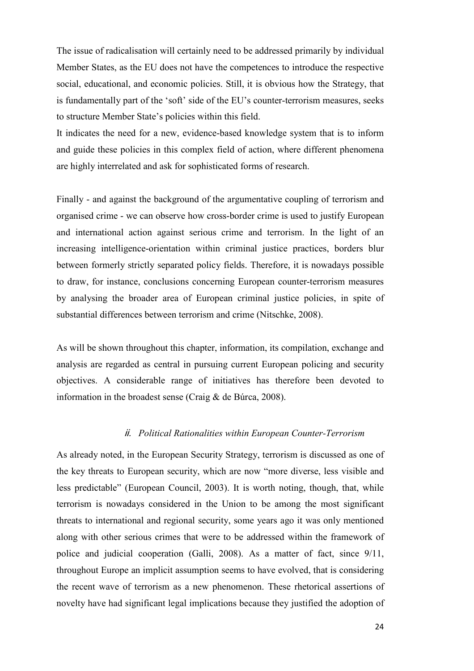The issue of radicalisation will certainly need to be addressed primarily by individual Member States, as the EU does not have the competences to introduce the respective social, educational, and economic policies. Still, it is obvious how the Strategy, that is fundamentally part of the 'soft' side of the EU's counter-terrorism measures, seeks to structure Member State's policies within this field.

It indicates the need for a new, evidence-based knowledge system that is to inform and guide these policies in this complex field of action, where different phenomena are highly interrelated and ask for sophisticated forms of research.

Finally - and against the background of the argumentative coupling of terrorism and organised crime - we can observe how cross-border crime is used to justify European and international action against serious crime and terrorism. In the light of an increasing intelligence-orientation within criminal justice practices, borders blur between formerly strictly separated policy fields. Therefore, it is nowadays possible to draw, for instance, conclusions concerning European counter-terrorism measures by analysing the broader area of European criminal justice policies, in spite of substantial differences between terrorism and crime (Nitschke, 2008).

As will be shown throughout this chapter, information, its compilation, exchange and analysis are regarded as central in pursuing current European policing and security objectives. A considerable range of initiatives has therefore been devoted to information in the broadest sense (Craig & de Búrca, 2008).

#### - *Political Rationalities within European Counter-Terrorism*

As already noted, in the European Security Strategy, terrorism is discussed as one of the key threats to European security, which are now "more diverse, less visible and less predictable" (European Council, 2003). It is worth noting, though, that, while terrorism is nowadays considered in the Union to be among the most significant threats to international and regional security, some years ago it was only mentioned along with other serious crimes that were to be addressed within the framework of police and judicial cooperation (Galli, 2008). As a matter of fact, since 9/11, throughout Europe an implicit assumption seems to have evolved, that is considering the recent wave of terrorism as a new phenomenon. These rhetorical assertions of novelty have had significant legal implications because they justified the adoption of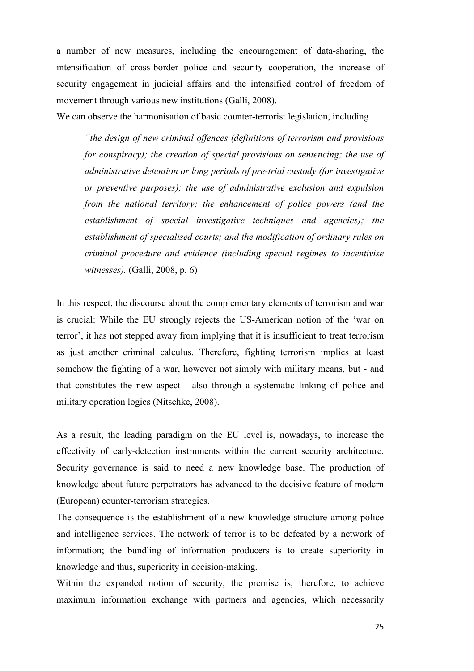a number of new measures, including the encouragement of data-sharing, the intensification of cross-border police and security cooperation, the increase of security engagement in judicial affairs and the intensified control of freedom of movement through various new institutions (Galli, 2008).

We can observe the harmonisation of basic counter-terrorist legislation, including

*"the design of new criminal offences (definitions of terrorism and provisions for conspiracy); the creation of special provisions on sentencing; the use of administrative detention or long periods of pre-trial custody (for investigative or preventive purposes); the use of administrative exclusion and expulsion from the national territory; the enhancement of police powers (and the establishment of special investigative techniques and agencies); the establishment of specialised courts; and the modification of ordinary rules on criminal procedure and evidence (including special regimes to incentivise witnesses).* (Galli, 2008, p. 6)

In this respect, the discourse about the complementary elements of terrorism and war is crucial: While the EU strongly rejects the US-American notion of the 'war on terror', it has not stepped away from implying that it is insufficient to treat terrorism as just another criminal calculus. Therefore, fighting terrorism implies at least somehow the fighting of a war, however not simply with military means, but - and that constitutes the new aspect - also through a systematic linking of police and military operation logics (Nitschke, 2008).

As a result, the leading paradigm on the EU level is, nowadays, to increase the effectivity of early-detection instruments within the current security architecture. Security governance is said to need a new knowledge base. The production of knowledge about future perpetrators has advanced to the decisive feature of modern (European) counter-terrorism strategies.

The consequence is the establishment of a new knowledge structure among police and intelligence services. The network of terror is to be defeated by a network of information; the bundling of information producers is to create superiority in knowledge and thus, superiority in decision-making.

Within the expanded notion of security, the premise is, therefore, to achieve maximum information exchange with partners and agencies, which necessarily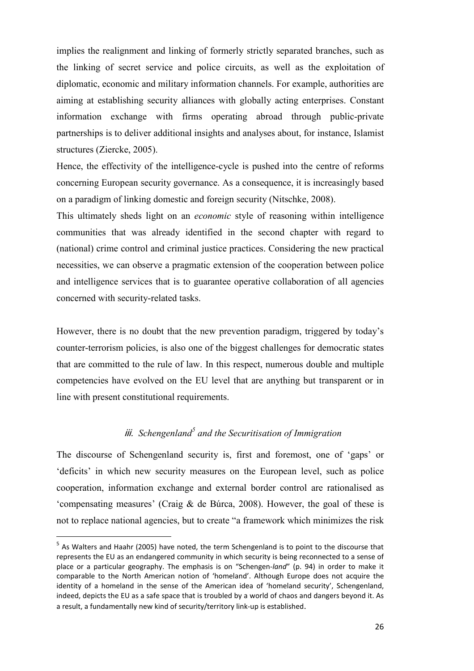implies the realignment and linking of formerly strictly separated branches, such as the linking of secret service and police circuits, as well as the exploitation of diplomatic, economic and military information channels. For example, authorities are aiming at establishing security alliances with globally acting enterprises. Constant information exchange with firms operating abroad through public-private partnerships is to deliver additional insights and analyses about, for instance, Islamist structures (Ziercke, 2005).

Hence, the effectivity of the intelligence-cycle is pushed into the centre of reforms concerning European security governance. As a consequence, it is increasingly based on a paradigm of linking domestic and foreign security (Nitschke, 2008).

This ultimately sheds light on an *economic* style of reasoning within intelligence communities that was already identified in the second chapter with regard to (national) crime control and criminal justice practices. Considering the new practical necessities, we can observe a pragmatic extension of the cooperation between police and intelligence services that is to guarantee operative collaboration of all agencies concerned with security-related tasks.

However, there is no doubt that the new prevention paradigm, triggered by today's counter-terrorism policies, is also one of the biggest challenges for democratic states that are committed to the rule of law. In this respect, numerous double and multiple competencies have evolved on the EU level that are anything but transparent or in line with present constitutional requirements.

#### iii. Schengenland<sup>5</sup> and the Securitisation of Immigration

The discourse of Schengenland security is, first and foremost, one of 'gaps' or 'deficits' in which new security measures on the European level, such as police cooperation, information exchange and external border control are rationalised as 'compensating measures' (Craig & de Búrca, 2008). However, the goal of these is not to replace national agencies, but to create "a framework which minimizes the risk

 $\overline{\phantom{0}}$ 

<sup>&</sup>lt;sup>5</sup> As Walters and Haahr (2005) have noted, the term Schengenland is to point to the discourse that represents the EU as an endangered community in which security is being reconnected to a sense of place or a particular geography. The emphasis is on "Schengen-*land*" (p. 94) in order to make it comparable to the North American notion of 'homeland'. Although Europe does not acquire the identity of a homeland in the sense of the American idea of 'homeland security', Schengenland, indeed, depicts the EU as a safe space that is troubled by a world of chaos and dangers beyond it. As a result, a fundamentally new kind of security/territory link-up is established.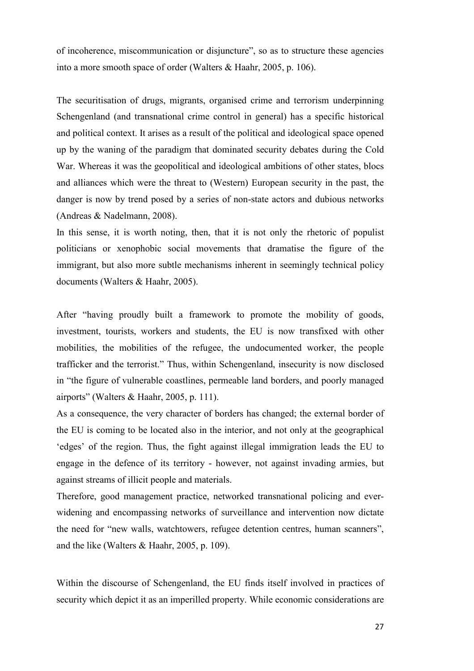of incoherence, miscommunication or disjuncture", so as to structure these agencies into a more smooth space of order (Walters & Haahr, 2005, p. 106).

The securitisation of drugs, migrants, organised crime and terrorism underpinning Schengenland (and transnational crime control in general) has a specific historical and political context. It arises as a result of the political and ideological space opened up by the waning of the paradigm that dominated security debates during the Cold War. Whereas it was the geopolitical and ideological ambitions of other states, blocs and alliances which were the threat to (Western) European security in the past, the danger is now by trend posed by a series of non-state actors and dubious networks (Andreas & Nadelmann, 2008).

In this sense, it is worth noting, then, that it is not only the rhetoric of populist politicians or xenophobic social movements that dramatise the figure of the immigrant, but also more subtle mechanisms inherent in seemingly technical policy documents (Walters & Haahr, 2005).

After "having proudly built a framework to promote the mobility of goods, investment, tourists, workers and students, the EU is now transfixed with other mobilities, the mobilities of the refugee, the undocumented worker, the people trafficker and the terrorist." Thus, within Schengenland, insecurity is now disclosed in "the figure of vulnerable coastlines, permeable land borders, and poorly managed airports" (Walters & Haahr, 2005, p. 111).

As a consequence, the very character of borders has changed; the external border of the EU is coming to be located also in the interior, and not only at the geographical 'edges' of the region. Thus, the fight against illegal immigration leads the EU to engage in the defence of its territory - however, not against invading armies, but against streams of illicit people and materials.

Therefore, good management practice, networked transnational policing and everwidening and encompassing networks of surveillance and intervention now dictate the need for "new walls, watchtowers, refugee detention centres, human scanners", and the like (Walters & Haahr, 2005, p. 109).

Within the discourse of Schengenland, the EU finds itself involved in practices of security which depict it as an imperilled property. While economic considerations are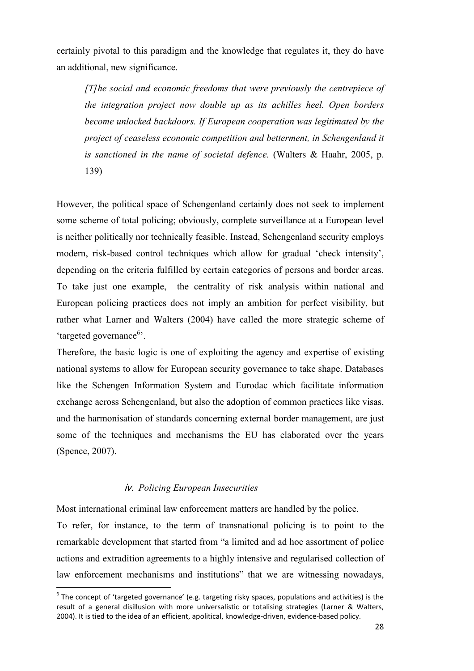certainly pivotal to this paradigm and the knowledge that regulates it, they do have an additional, new significance.

*[T]he social and economic freedoms that were previously the centrepiece of the integration project now double up as its achilles heel. Open borders become unlocked backdoors. If European cooperation was legitimated by the project of ceaseless economic competition and betterment, in Schengenland it is sanctioned in the name of societal defence.* (Walters & Haahr, 2005, p. 139)

However, the political space of Schengenland certainly does not seek to implement some scheme of total policing; obviously, complete surveillance at a European level is neither politically nor technically feasible. Instead, Schengenland security employs modern, risk-based control techniques which allow for gradual 'check intensity', depending on the criteria fulfilled by certain categories of persons and border areas. To take just one example, the centrality of risk analysis within national and European policing practices does not imply an ambition for perfect visibility, but rather what Larner and Walters (2004) have called the more strategic scheme of 'targeted governance<sup>6</sup>'.

Therefore, the basic logic is one of exploiting the agency and expertise of existing national systems to allow for European security governance to take shape. Databases like the Schengen Information System and Eurodac which facilitate information exchange across Schengenland, but also the adoption of common practices like visas, and the harmonisation of standards concerning external border management, are just some of the techniques and mechanisms the EU has elaborated over the years (Spence, 2007).

#### - *Policing European Insecurities*

l

Most international criminal law enforcement matters are handled by the police.

To refer, for instance, to the term of transnational policing is to point to the remarkable development that started from "a limited and ad hoc assortment of police actions and extradition agreements to a highly intensive and regularised collection of law enforcement mechanisms and institutions" that we are witnessing nowadays,

 $^6$  The concept of 'targeted governance' (e.g. targeting risky spaces, populations and activities) is the result of a general disillusion with more universalistic or totalising strategies (Larner & Walters, 2004). It is tied to the idea of an efficient, apolitical, knowledge-driven, evidence-based policy.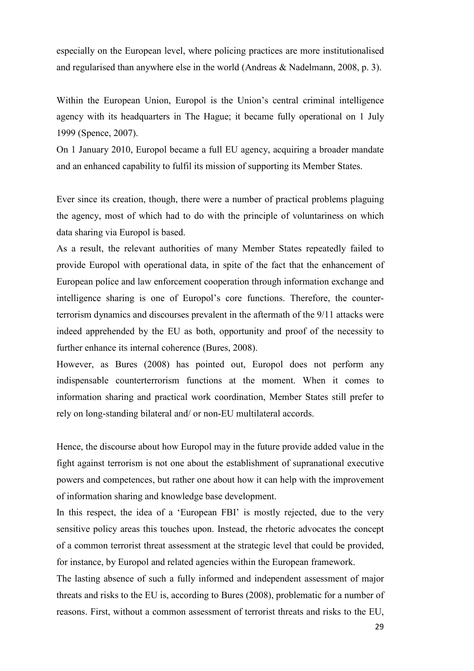especially on the European level, where policing practices are more institutionalised and regularised than anywhere else in the world (Andreas & Nadelmann, 2008, p. 3).

Within the European Union, Europol is the Union's central criminal intelligence agency with its headquarters in The Hague; it became fully operational on 1 July 1999 (Spence, 2007).

On 1 January 2010, Europol became a full EU agency, acquiring a broader mandate and an enhanced capability to fulfil its mission of supporting its Member States.

Ever since its creation, though, there were a number of practical problems plaguing the agency, most of which had to do with the principle of voluntariness on which data sharing via Europol is based.

As a result, the relevant authorities of many Member States repeatedly failed to provide Europol with operational data, in spite of the fact that the enhancement of European police and law enforcement cooperation through information exchange and intelligence sharing is one of Europol's core functions. Therefore, the counterterrorism dynamics and discourses prevalent in the aftermath of the 9/11 attacks were indeed apprehended by the EU as both, opportunity and proof of the necessity to further enhance its internal coherence (Bures, 2008).

However, as Bures (2008) has pointed out, Europol does not perform any indispensable counterterrorism functions at the moment. When it comes to information sharing and practical work coordination, Member States still prefer to rely on long-standing bilateral and/ or non-EU multilateral accords.

Hence, the discourse about how Europol may in the future provide added value in the fight against terrorism is not one about the establishment of supranational executive powers and competences, but rather one about how it can help with the improvement of information sharing and knowledge base development.

In this respect, the idea of a 'European FBI' is mostly rejected, due to the very sensitive policy areas this touches upon. Instead, the rhetoric advocates the concept of a common terrorist threat assessment at the strategic level that could be provided, for instance, by Europol and related agencies within the European framework.

The lasting absence of such a fully informed and independent assessment of major threats and risks to the EU is, according to Bures (2008), problematic for a number of reasons. First, without a common assessment of terrorist threats and risks to the EU,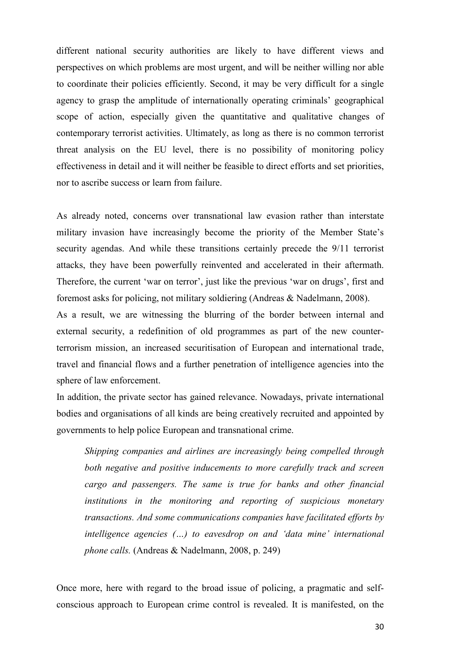different national security authorities are likely to have different views and perspectives on which problems are most urgent, and will be neither willing nor able to coordinate their policies efficiently. Second, it may be very difficult for a single agency to grasp the amplitude of internationally operating criminals' geographical scope of action, especially given the quantitative and qualitative changes of contemporary terrorist activities. Ultimately, as long as there is no common terrorist threat analysis on the EU level, there is no possibility of monitoring policy effectiveness in detail and it will neither be feasible to direct efforts and set priorities, nor to ascribe success or learn from failure.

As already noted, concerns over transnational law evasion rather than interstate military invasion have increasingly become the priority of the Member State's security agendas. And while these transitions certainly precede the 9/11 terrorist attacks, they have been powerfully reinvented and accelerated in their aftermath. Therefore, the current 'war on terror', just like the previous 'war on drugs', first and foremost asks for policing, not military soldiering (Andreas & Nadelmann, 2008).

As a result, we are witnessing the blurring of the border between internal and external security, a redefinition of old programmes as part of the new counterterrorism mission, an increased securitisation of European and international trade, travel and financial flows and a further penetration of intelligence agencies into the sphere of law enforcement.

In addition, the private sector has gained relevance. Nowadays, private international bodies and organisations of all kinds are being creatively recruited and appointed by governments to help police European and transnational crime.

*Shipping companies and airlines are increasingly being compelled through both negative and positive inducements to more carefully track and screen cargo and passengers. The same is true for banks and other financial institutions in the monitoring and reporting of suspicious monetary transactions. And some communications companies have facilitated efforts by intelligence agencies (…) to eavesdrop on and 'data mine' international phone calls.* (Andreas & Nadelmann, 2008, p. 249)

Once more, here with regard to the broad issue of policing, a pragmatic and selfconscious approach to European crime control is revealed. It is manifested, on the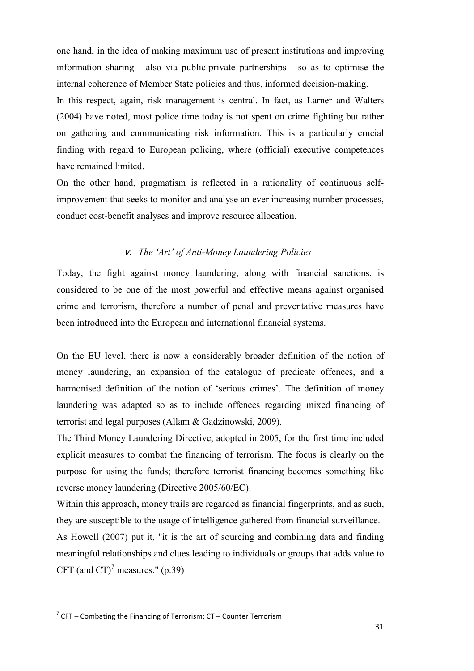one hand, in the idea of making maximum use of present institutions and improving information sharing - also via public-private partnerships - so as to optimise the internal coherence of Member State policies and thus, informed decision-making. In this respect, again, risk management is central. In fact, as Larner and Walters (2004) have noted, most police time today is not spent on crime fighting but rather on gathering and communicating risk information. This is a particularly crucial finding with regard to European policing, where (official) executive competences have remained limited.

On the other hand, pragmatism is reflected in a rationality of continuous selfimprovement that seeks to monitor and analyse an ever increasing number processes, conduct cost-benefit analyses and improve resource allocation.

#### - *The 'Art' of Anti-Money Laundering Policies*

Today, the fight against money laundering, along with financial sanctions, is considered to be one of the most powerful and effective means against organised crime and terrorism, therefore a number of penal and preventative measures have been introduced into the European and international financial systems.

On the EU level, there is now a considerably broader definition of the notion of money laundering, an expansion of the catalogue of predicate offences, and a harmonised definition of the notion of 'serious crimes'. The definition of money laundering was adapted so as to include offences regarding mixed financing of terrorist and legal purposes (Allam & Gadzinowski, 2009).

The Third Money Laundering Directive, adopted in 2005, for the first time included explicit measures to combat the financing of terrorism. The focus is clearly on the purpose for using the funds; therefore terrorist financing becomes something like reverse money laundering (Directive 2005/60/EC).

Within this approach, money trails are regarded as financial fingerprints, and as such, they are susceptible to the usage of intelligence gathered from financial surveillance. As Howell (2007) put it, "it is the art of sourcing and combining data and finding meaningful relationships and clues leading to individuals or groups that adds value to CFT (and CT)<sup>7</sup> measures." (p.39)

l

 $7$  CFT – Combating the Financing of Terrorism; CT – Counter Terrorism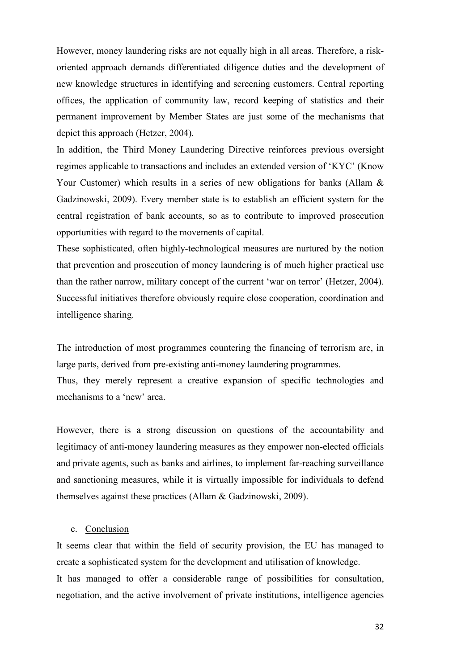However, money laundering risks are not equally high in all areas. Therefore, a riskoriented approach demands differentiated diligence duties and the development of new knowledge structures in identifying and screening customers. Central reporting offices, the application of community law, record keeping of statistics and their permanent improvement by Member States are just some of the mechanisms that depict this approach (Hetzer, 2004).

In addition, the Third Money Laundering Directive reinforces previous oversight regimes applicable to transactions and includes an extended version of 'KYC' (Know Your Customer) which results in a series of new obligations for banks (Allam & Gadzinowski, 2009). Every member state is to establish an efficient system for the central registration of bank accounts, so as to contribute to improved prosecution opportunities with regard to the movements of capital.

These sophisticated, often highly-technological measures are nurtured by the notion that prevention and prosecution of money laundering is of much higher practical use than the rather narrow, military concept of the current 'war on terror' (Hetzer, 2004). Successful initiatives therefore obviously require close cooperation, coordination and intelligence sharing.

The introduction of most programmes countering the financing of terrorism are, in large parts, derived from pre-existing anti-money laundering programmes.

Thus, they merely represent a creative expansion of specific technologies and mechanisms to a 'new' area.

However, there is a strong discussion on questions of the accountability and legitimacy of anti-money laundering measures as they empower non-elected officials and private agents, such as banks and airlines, to implement far-reaching surveillance and sanctioning measures, while it is virtually impossible for individuals to defend themselves against these practices (Allam & Gadzinowski, 2009).

#### c. Conclusion

It seems clear that within the field of security provision, the EU has managed to create a sophisticated system for the development and utilisation of knowledge. It has managed to offer a considerable range of possibilities for consultation, negotiation, and the active involvement of private institutions, intelligence agencies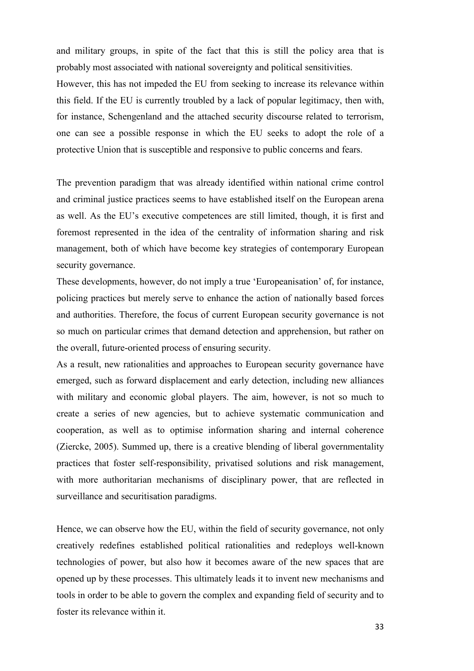and military groups, in spite of the fact that this is still the policy area that is probably most associated with national sovereignty and political sensitivities. However, this has not impeded the EU from seeking to increase its relevance within this field. If the EU is currently troubled by a lack of popular legitimacy, then with, for instance, Schengenland and the attached security discourse related to terrorism, one can see a possible response in which the EU seeks to adopt the role of a protective Union that is susceptible and responsive to public concerns and fears.

The prevention paradigm that was already identified within national crime control and criminal justice practices seems to have established itself on the European arena as well. As the EU's executive competences are still limited, though, it is first and foremost represented in the idea of the centrality of information sharing and risk management, both of which have become key strategies of contemporary European security governance.

These developments, however, do not imply a true 'Europeanisation' of, for instance, policing practices but merely serve to enhance the action of nationally based forces and authorities. Therefore, the focus of current European security governance is not so much on particular crimes that demand detection and apprehension, but rather on the overall, future-oriented process of ensuring security.

As a result, new rationalities and approaches to European security governance have emerged, such as forward displacement and early detection, including new alliances with military and economic global players. The aim, however, is not so much to create a series of new agencies, but to achieve systematic communication and cooperation, as well as to optimise information sharing and internal coherence (Ziercke, 2005). Summed up, there is a creative blending of liberal governmentality practices that foster self-responsibility, privatised solutions and risk management, with more authoritarian mechanisms of disciplinary power, that are reflected in surveillance and securitisation paradigms.

Hence, we can observe how the EU, within the field of security governance, not only creatively redefines established political rationalities and redeploys well-known technologies of power, but also how it becomes aware of the new spaces that are opened up by these processes. This ultimately leads it to invent new mechanisms and tools in order to be able to govern the complex and expanding field of security and to foster its relevance within it.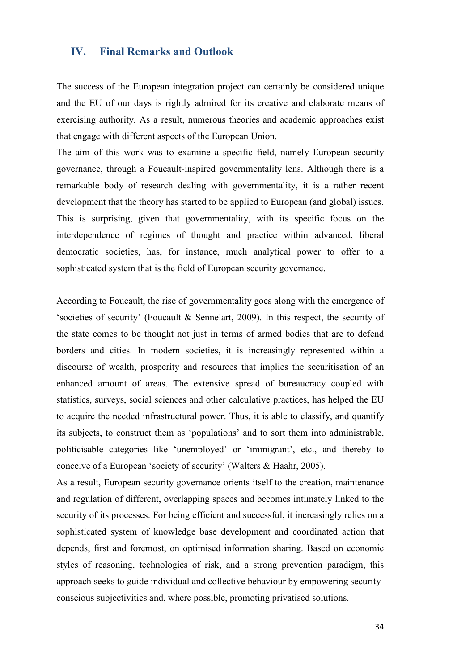#### **IV. Final Remarks and Outlook**

The success of the European integration project can certainly be considered unique and the EU of our days is rightly admired for its creative and elaborate means of exercising authority. As a result, numerous theories and academic approaches exist that engage with different aspects of the European Union.

The aim of this work was to examine a specific field, namely European security governance, through a Foucault-inspired governmentality lens. Although there is a remarkable body of research dealing with governmentality, it is a rather recent development that the theory has started to be applied to European (and global) issues. This is surprising, given that governmentality, with its specific focus on the interdependence of regimes of thought and practice within advanced, liberal democratic societies, has, for instance, much analytical power to offer to a sophisticated system that is the field of European security governance.

According to Foucault, the rise of governmentality goes along with the emergence of 'societies of security' (Foucault & Sennelart, 2009). In this respect, the security of the state comes to be thought not just in terms of armed bodies that are to defend borders and cities. In modern societies, it is increasingly represented within a discourse of wealth, prosperity and resources that implies the securitisation of an enhanced amount of areas. The extensive spread of bureaucracy coupled with statistics, surveys, social sciences and other calculative practices, has helped the EU to acquire the needed infrastructural power. Thus, it is able to classify, and quantify its subjects, to construct them as 'populations' and to sort them into administrable, politicisable categories like 'unemployed' or 'immigrant', etc., and thereby to conceive of a European 'society of security' (Walters & Haahr, 2005).

As a result, European security governance orients itself to the creation, maintenance and regulation of different, overlapping spaces and becomes intimately linked to the security of its processes. For being efficient and successful, it increasingly relies on a sophisticated system of knowledge base development and coordinated action that depends, first and foremost, on optimised information sharing. Based on economic styles of reasoning, technologies of risk, and a strong prevention paradigm, this approach seeks to guide individual and collective behaviour by empowering securityconscious subjectivities and, where possible, promoting privatised solutions.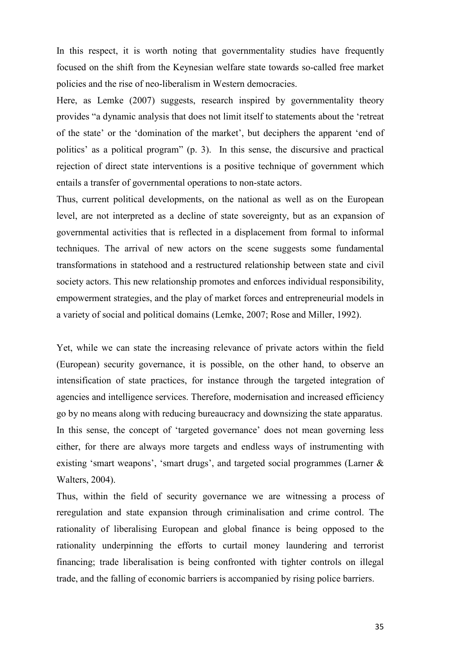In this respect, it is worth noting that governmentality studies have frequently focused on the shift from the Keynesian welfare state towards so-called free market policies and the rise of neo-liberalism in Western democracies.

Here, as Lemke (2007) suggests, research inspired by governmentality theory provides "a dynamic analysis that does not limit itself to statements about the 'retreat of the state' or the 'domination of the market', but deciphers the apparent 'end of politics' as a political program" (p. 3). In this sense, the discursive and practical rejection of direct state interventions is a positive technique of government which entails a transfer of governmental operations to non-state actors.

Thus, current political developments, on the national as well as on the European level, are not interpreted as a decline of state sovereignty, but as an expansion of governmental activities that is reflected in a displacement from formal to informal techniques. The arrival of new actors on the scene suggests some fundamental transformations in statehood and a restructured relationship between state and civil society actors. This new relationship promotes and enforces individual responsibility, empowerment strategies, and the play of market forces and entrepreneurial models in a variety of social and political domains (Lemke, 2007; Rose and Miller, 1992).

Yet, while we can state the increasing relevance of private actors within the field (European) security governance, it is possible, on the other hand, to observe an intensification of state practices, for instance through the targeted integration of agencies and intelligence services. Therefore, modernisation and increased efficiency go by no means along with reducing bureaucracy and downsizing the state apparatus. In this sense, the concept of 'targeted governance' does not mean governing less either, for there are always more targets and endless ways of instrumenting with existing 'smart weapons', 'smart drugs', and targeted social programmes (Larner & Walters, 2004).

Thus, within the field of security governance we are witnessing a process of reregulation and state expansion through criminalisation and crime control. The rationality of liberalising European and global finance is being opposed to the rationality underpinning the efforts to curtail money laundering and terrorist financing; trade liberalisation is being confronted with tighter controls on illegal trade, and the falling of economic barriers is accompanied by rising police barriers.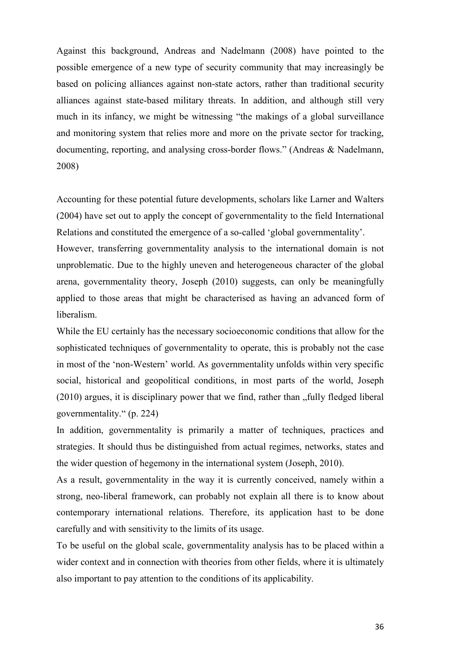Against this background, Andreas and Nadelmann (2008) have pointed to the possible emergence of a new type of security community that may increasingly be based on policing alliances against non-state actors, rather than traditional security alliances against state-based military threats. In addition, and although still very much in its infancy, we might be witnessing "the makings of a global surveillance and monitoring system that relies more and more on the private sector for tracking, documenting, reporting, and analysing cross-border flows." (Andreas & Nadelmann, 2008)

Accounting for these potential future developments, scholars like Larner and Walters (2004) have set out to apply the concept of governmentality to the field International Relations and constituted the emergence of a so-called 'global governmentality'.

However, transferring governmentality analysis to the international domain is not unproblematic. Due to the highly uneven and heterogeneous character of the global arena, governmentality theory, Joseph (2010) suggests, can only be meaningfully applied to those areas that might be characterised as having an advanced form of liberalism.

While the EU certainly has the necessary socioeconomic conditions that allow for the sophisticated techniques of governmentality to operate, this is probably not the case in most of the 'non-Western' world. As governmentality unfolds within very specific social, historical and geopolitical conditions, in most parts of the world, Joseph  $(2010)$  argues, it is disciplinary power that we find, rather than  $\eta$  fully fledged liberal governmentality." (p. 224)

In addition, governmentality is primarily a matter of techniques, practices and strategies. It should thus be distinguished from actual regimes, networks, states and the wider question of hegemony in the international system (Joseph, 2010).

As a result, governmentality in the way it is currently conceived, namely within a strong, neo-liberal framework, can probably not explain all there is to know about contemporary international relations. Therefore, its application hast to be done carefully and with sensitivity to the limits of its usage.

To be useful on the global scale, governmentality analysis has to be placed within a wider context and in connection with theories from other fields, where it is ultimately also important to pay attention to the conditions of its applicability.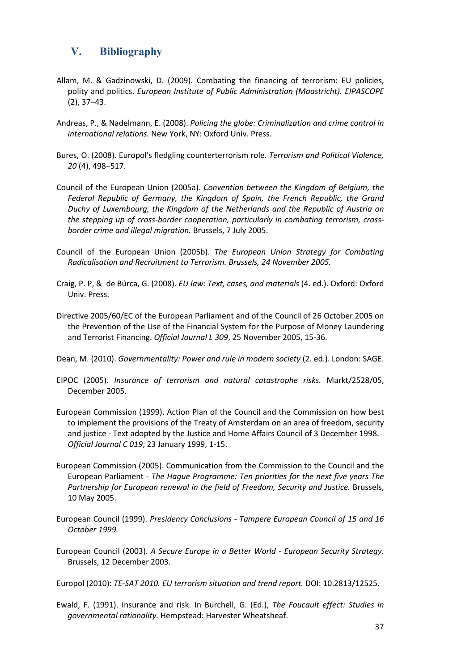#### **V. Bibliography**

- Allam, M. & Gadzinowski, D. (2009). Combating the financing of terrorism: EU policies, polity and politics. *European Institute of Public Administration (Maastricht). EIPASCOPE*  (2), 37–43.
- Andreas, P., & Nadelmann, E. (2008). *Policing the globe: Criminalization and crime control in international relations.* New York, NY: Oxford Univ. Press.
- Bures, O. (2008). Europol's fledgling counterterrorism role. *Terrorism and Political Violence, 20* (4), 498–517.
- Council of the European Union (2005a). *Convention between the Kingdom of Belgium, the Federal Republic of Germany, the Kingdom of Spain, the French Republic, the Grand Duchy of Luxembourg, the Kingdom of the Netherlands and the Republic of Austria on the stepping up of cross-border cooperation, particularly in combating terrorism, crossborder crime and illegal migration.* Brussels, 7 July 2005.
- Council of the European Union (2005b). *The European Union Strategy for Combating Radicalisation and Recruitment to Terrorism. Brussels, 24 November 2005.*
- Craig, P. P, & de Búrca, G. (2008). *EU law: Text, cases, and materials* (4. ed.). Oxford: Oxford Univ. Press.
- Directive 2005/60/EC of the European Parliament and of the Council of 26 October 2005 on the Prevention of the Use of the Financial System for the Purpose of Money Laundering and Terrorist Financing. *Official Journal L 309*, 25 November 2005, 15-36.
- Dean, M. (2010). *Governmentality: Power and rule in modern society* (2. ed.). London: SAGE.
- EIPOC (2005). *Insurance of terrorism and natural catastrophe risks.* Markt/2528/05, December 2005.
- European Commission (1999). Action Plan of the Council and the Commission on how best to implement the provisions of the Treaty of Amsterdam on an area of freedom, security and justice - Text adopted by the Justice and Home Affairs Council of 3 December 1998. *Official Journal C 019*, 23 January 1999, 1-15.
- European Commission (2005). Communication from the Commission to the Council and the European Parliament - *The Hague Programme: Ten priorities for the next five years The Partnership for European renewal in the field of Freedom, Security and Justice.* Brussels, 10 May 2005.
- European Council (1999). *Presidency Conclusions Tampere European Council of 15 and 16 October 1999.*
- European Council (2003). *A Secure Europe in a Better World European Security Strategy*. Brussels, 12 December 2003.

Europol (2010): *TE-SAT 2010. EU terrorism situation and trend report.* DOI: 10.2813/12525.

Ewald, F. (1991). Insurance and risk. In Burchell, G. (Ed.), *The Foucault effect: Studies in governmental rationality.* Hempstead: Harvester Wheatsheaf.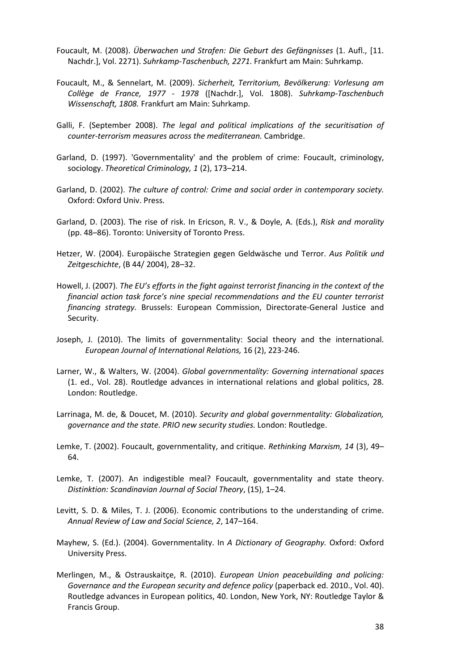- Foucault, M. (2008). *Überwachen und Strafen: Die Geburt des Gefängnisses* (1. Aufl., [11. Nachdr.], Vol. 2271). *Suhrkamp-Taschenbuch, 2271.* Frankfurt am Main: Suhrkamp.
- Foucault, M., & Sennelart, M. (2009). *Sicherheit, Territorium, Bevölkerung: Vorlesung am Collège de France, 1977 - 1978* ([Nachdr.], Vol. 1808). *Suhrkamp-Taschenbuch Wissenschaft, 1808.* Frankfurt am Main: Suhrkamp.
- Galli, F. (September 2008). *The legal and political implications of the securitisation of counter-terrorism measures across the mediterranean.* Cambridge.
- Garland, D. (1997). 'Governmentality' and the problem of crime: Foucault, criminology, sociology. *Theoretical Criminology, 1* (2), 173–214.
- Garland, D. (2002). *The culture of control: Crime and social order in contemporary society.*  Oxford: Oxford Univ. Press.
- Garland, D. (2003). The rise of risk. In Ericson, R. V., & Doyle, A. (Eds.), *Risk and morality*  (pp. 48–86). Toronto: University of Toronto Press.
- Hetzer, W. (2004). Europäische Strategien gegen Geldwäsche und Terror. *Aus Politik und Zeitgeschichte*, (B 44/ 2004), 28–32.
- Howell, J. (2007). *The EU's efforts in the fight against terrorist financing in the context of the financial action task force's nine special recommendations and the EU counter terrorist financing strategy.* Brussels: European Commission, Directorate-General Justice and Security.
- Joseph, J. (2010). The limits of governmentality: Social theory and the international. *European Journal of International Relations,* 16 (2), 223-246.
- Larner, W., & Walters, W. (2004). *Global governmentality: Governing international spaces*  (1. ed., Vol. 28). Routledge advances in international relations and global politics, 28. London: Routledge.
- Larrinaga, M. de, & Doucet, M. (2010). *Security and global governmentality: Globalization, governance and the state. PRIO new security studies.* London: Routledge.
- Lemke, T. (2002). Foucault, governmentality, and critique. *Rethinking Marxism, 14* (3), 49– 64.
- Lemke, T. (2007). An indigestible meal? Foucault, governmentality and state theory. *Distinktion: Scandinavian Journal of Social Theory*, (15), 1–24.
- Levitt, S. D. & Miles, T. J. (2006). Economic contributions to the understanding of crime. *Annual Review of Law and Social Science, 2*, 147–164.
- Mayhew, S. (Ed.). (2004). Governmentality. In *A Dictionary of Geography.* Oxford: Oxford University Press.
- Merlingen, M., & Ostrauskaitçe, R. (2010). *European Union peacebuilding and policing: Governance and the European security and defence policy* (paperback ed. 2010., Vol. 40). Routledge advances in European politics, 40. London, New York, NY: Routledge Taylor & Francis Group.